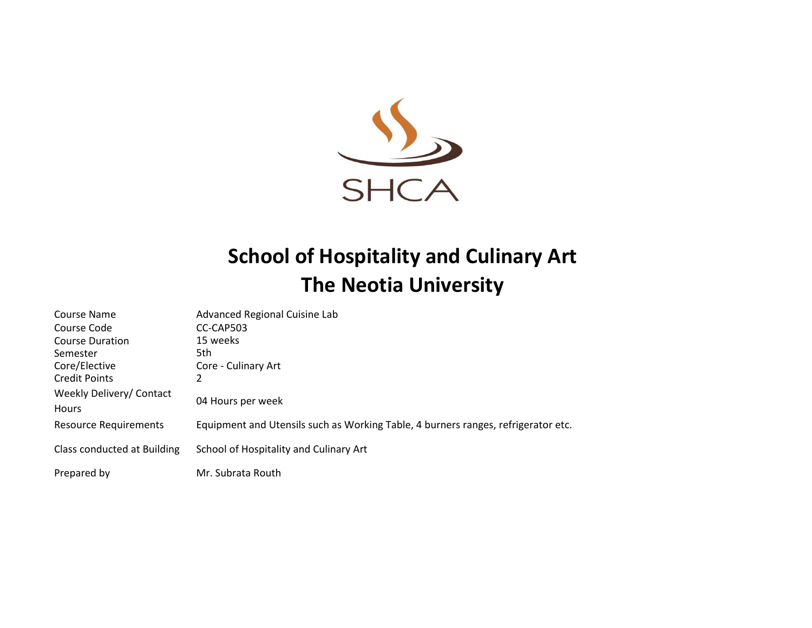

## **School of Hospitality and Culinary Art The Neotia University**

| Course Name                       | Advanced Regional Cuisine Lab                                                     |
|-----------------------------------|-----------------------------------------------------------------------------------|
| Course Code                       | CC-CAP503                                                                         |
| Course Duration                   | 15 weeks                                                                          |
| Semester                          | 5th                                                                               |
| Core/Elective                     | Core - Culinary Art                                                               |
| <b>Credit Points</b>              | 2                                                                                 |
| Weekly Delivery/ Contact<br>Hours | 04 Hours per week                                                                 |
| <b>Resource Requirements</b>      | Equipment and Utensils such as Working Table, 4 burners ranges, refrigerator etc. |
| Class conducted at Building       | School of Hospitality and Culinary Art                                            |
| Prepared by                       | Mr. Subrata Routh                                                                 |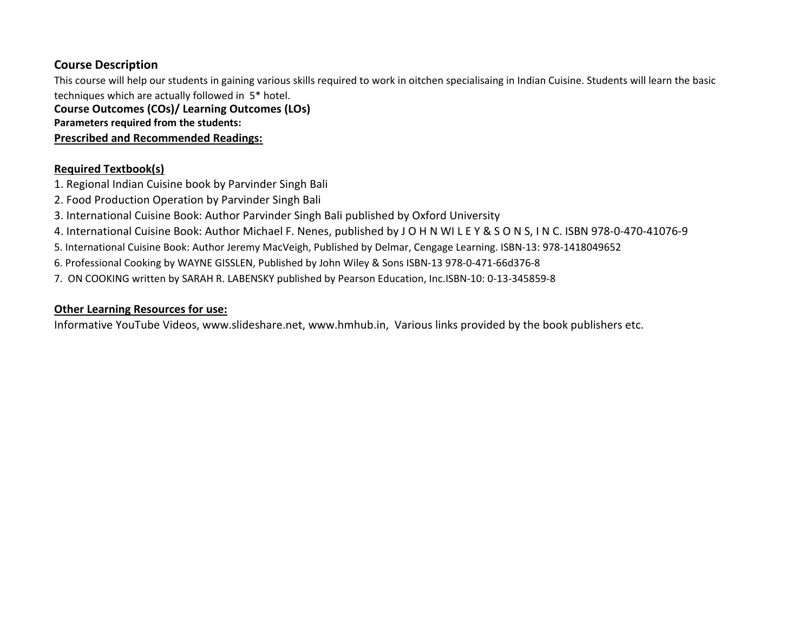## **Course Description**

This course will help our students in gaining various skills required to work in oitchen specialisaing in Indian Cuisine. Students will learn the basic techniques which are actually followed in 5\* hotel.

**Course Outcomes (COs)/ Learning Outcomes (LOs)**

**Parameters required from the students:** 

**Prescribed and Recommended Readings:**

## **Required Textbook(s)**

- 1. Regional Indian Cuisine book by Parvinder Singh Bali
- 2. Food Production Operation by Parvinder Singh Bali
- 3. International Cuisine Book: Author Parvinder Singh Bali published by Oxford University
- 4. International Cuisine Book: Author Michael F. Nenes, published by J O H N WI L E Y & S O N S, I N C. ISBN 978-0-470-41076-9
- 5. International Cuisine Book: Author Jeremy MacVeigh, Published by Delmar, Cengage Learning. ISBN-13: 978-1418049652
- 6. Professional Cooking by WAYNE GISSLEN, Published by John Wiley & Sons ISBN-13 978-0-471-66d376-8
- 7. ON COOKING written by SARAH R. LABENSKY published by Pearson Education, Inc.ISBN-10: 0-13-345859-8

## **Other Learning Resources for use:**

Informative YouTube Videos, www.slideshare.net, www.hmhub.in, Various links provided by the book publishers etc.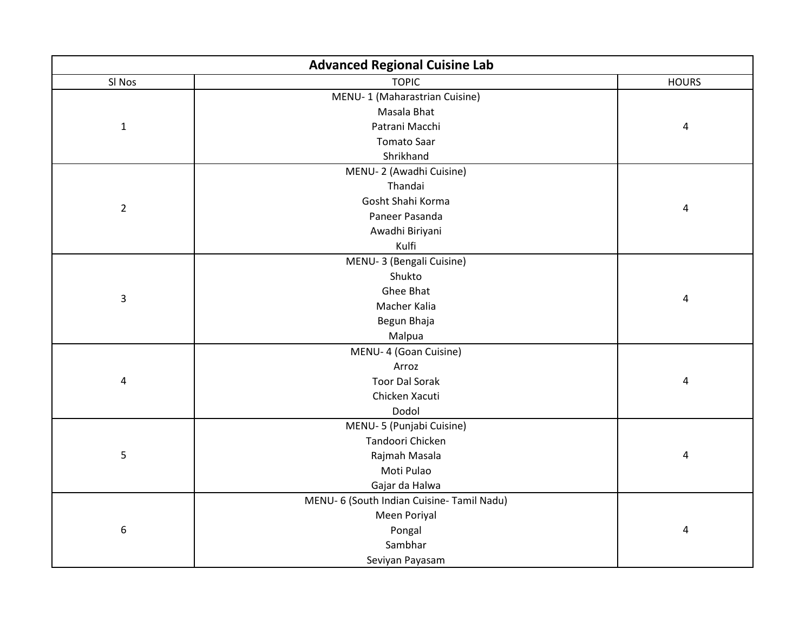| <b>Advanced Regional Cuisine Lab</b> |                                            |              |  |  |
|--------------------------------------|--------------------------------------------|--------------|--|--|
| SI Nos                               | <b>TOPIC</b>                               | <b>HOURS</b> |  |  |
|                                      | MENU-1 (Maharastrian Cuisine)              |              |  |  |
| $\mathbf 1$                          | Masala Bhat                                |              |  |  |
|                                      | Patrani Macchi                             | $\pmb{4}$    |  |  |
|                                      | <b>Tomato Saar</b>                         |              |  |  |
|                                      | Shrikhand                                  |              |  |  |
|                                      | MENU-2 (Awadhi Cuisine)                    |              |  |  |
|                                      | Thandai                                    |              |  |  |
| $\overline{2}$                       | Gosht Shahi Korma                          |              |  |  |
|                                      | Paneer Pasanda                             | 4            |  |  |
|                                      | Awadhi Biriyani                            |              |  |  |
|                                      | Kulfi                                      |              |  |  |
|                                      | MENU-3 (Bengali Cuisine)                   |              |  |  |
|                                      | Shukto                                     |              |  |  |
| $\overline{3}$                       | Ghee Bhat                                  |              |  |  |
|                                      | Macher Kalia                               | 4            |  |  |
|                                      | Begun Bhaja                                |              |  |  |
|                                      | Malpua                                     |              |  |  |
|                                      | MENU- 4 (Goan Cuisine)                     |              |  |  |
|                                      | Arroz                                      |              |  |  |
| 4                                    | <b>Toor Dal Sorak</b>                      | 4            |  |  |
|                                      | Chicken Xacuti                             |              |  |  |
|                                      | Dodol                                      |              |  |  |
|                                      | MENU-5 (Punjabi Cuisine)                   |              |  |  |
|                                      | Tandoori Chicken                           |              |  |  |
| 5                                    | Rajmah Masala                              | 4            |  |  |
|                                      | Moti Pulao                                 |              |  |  |
|                                      | Gajar da Halwa                             |              |  |  |
|                                      | MENU- 6 (South Indian Cuisine- Tamil Nadu) |              |  |  |
|                                      | Meen Poriyal                               |              |  |  |
| 6                                    | Pongal                                     | 4            |  |  |
|                                      | Sambhar                                    |              |  |  |
|                                      | Seviyan Payasam                            |              |  |  |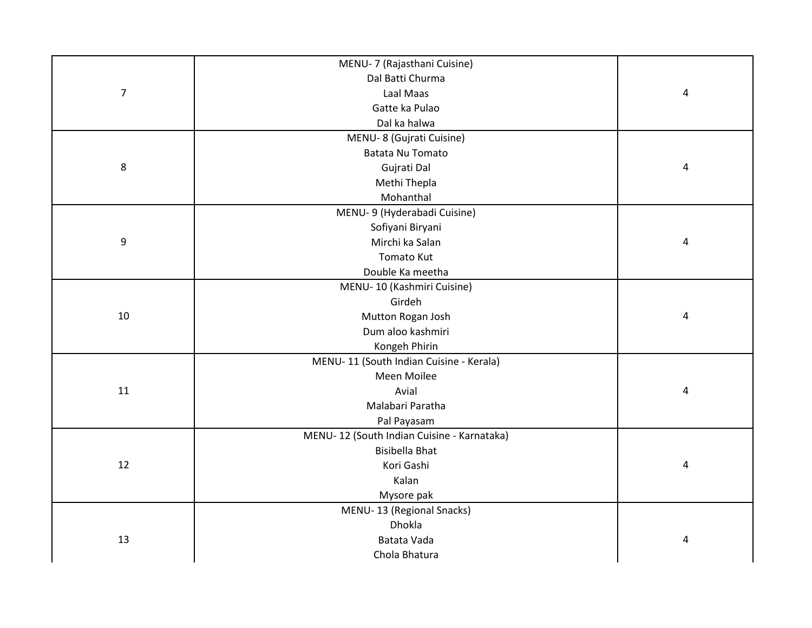|                  | MENU- 7 (Rajasthani Cuisine)               |   |
|------------------|--------------------------------------------|---|
|                  | Dal Batti Churma                           |   |
| $\overline{7}$   | Laal Maas                                  | 4 |
|                  | Gatte ka Pulao                             |   |
|                  | Dal ka halwa                               |   |
|                  | MENU-8 (Gujrati Cuisine)                   |   |
|                  | <b>Batata Nu Tomato</b>                    |   |
| 8                | Gujrati Dal                                | 4 |
|                  | Methi Thepla                               |   |
|                  | Mohanthal                                  |   |
|                  | MENU- 9 (Hyderabadi Cuisine)               |   |
|                  | Sofiyani Biryani                           |   |
| $\boldsymbol{9}$ | Mirchi ka Salan                            | 4 |
|                  | <b>Tomato Kut</b>                          |   |
|                  | Double Ka meetha                           |   |
|                  | MENU-10 (Kashmiri Cuisine)                 |   |
|                  | Girdeh                                     |   |
| 10               | Mutton Rogan Josh                          | 4 |
|                  | Dum aloo kashmiri                          |   |
|                  | Kongeh Phirin                              |   |
|                  | MENU-11 (South Indian Cuisine - Kerala)    |   |
|                  | Meen Moilee                                |   |
| 11               | Avial                                      | 4 |
|                  | Malabari Paratha                           |   |
|                  | Pal Payasam                                |   |
|                  | MENU-12 (South Indian Cuisine - Karnataka) |   |
|                  | <b>Bisibella Bhat</b>                      |   |
| 12               | Kori Gashi                                 | 4 |
|                  | Kalan                                      |   |
|                  | Mysore pak                                 |   |
|                  | MENU-13 (Regional Snacks)                  |   |
|                  | Dhokla                                     |   |
| 13               | Batata Vada                                | 4 |
|                  | Chola Bhatura                              |   |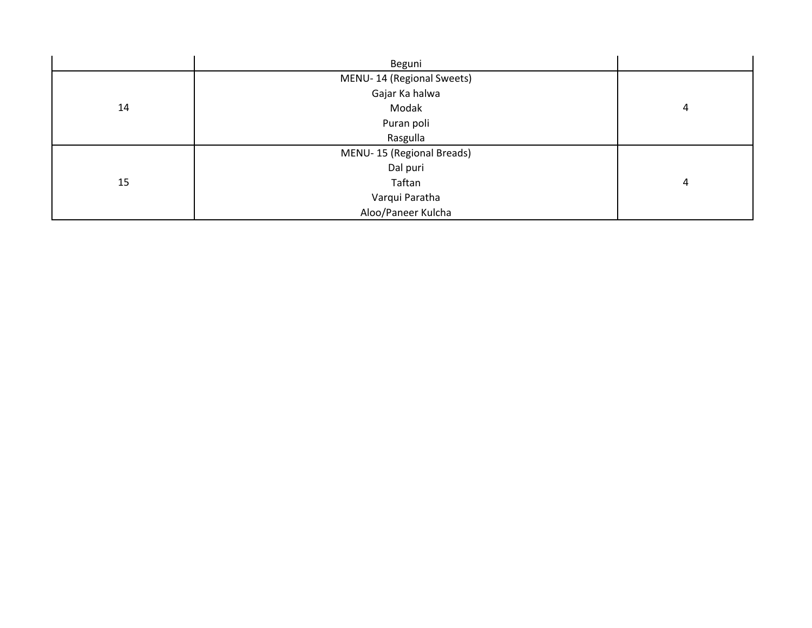|    | Beguni                    |                |
|----|---------------------------|----------------|
|    | MENU-14 (Regional Sweets) |                |
|    | Gajar Ka halwa            |                |
| 14 | Modak                     | $\overline{4}$ |
|    | Puran poli                |                |
|    | Rasgulla                  |                |
|    | MENU-15 (Regional Breads) |                |
|    | Dal puri                  |                |
| 15 | Taftan                    | 4              |
|    | Varqui Paratha            |                |
|    | Aloo/Paneer Kulcha        |                |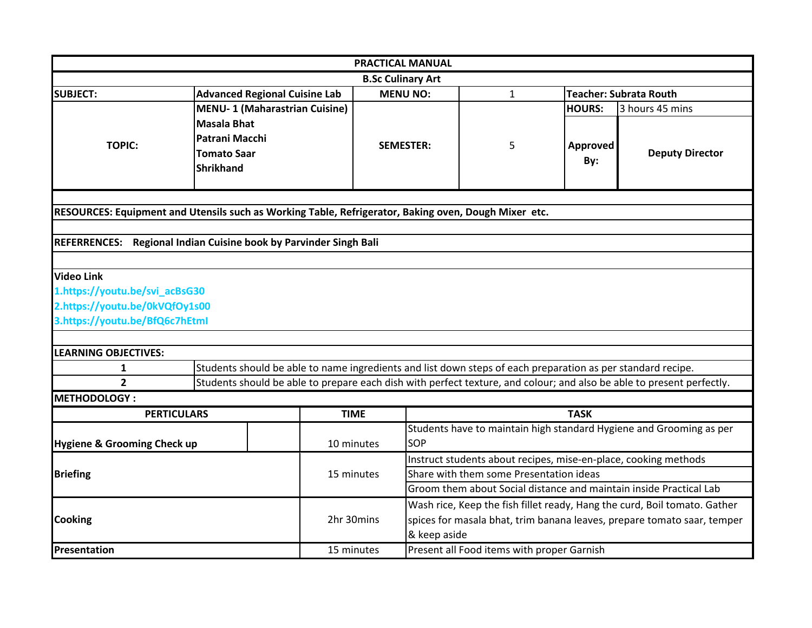| <b>PRACTICAL MANUAL</b>                |                                                                                                                       |                          |                                                                         |                                                                           |                 |                                                                     |  |
|----------------------------------------|-----------------------------------------------------------------------------------------------------------------------|--------------------------|-------------------------------------------------------------------------|---------------------------------------------------------------------------|-----------------|---------------------------------------------------------------------|--|
|                                        |                                                                                                                       | <b>B.Sc Culinary Art</b> |                                                                         |                                                                           |                 |                                                                     |  |
| <b>SUBJECT:</b>                        | <b>Advanced Regional Cuisine Lab</b>                                                                                  |                          | <b>MENU NO:</b>                                                         | $\mathbf{1}$                                                              |                 | <b>Teacher: Subrata Routh</b>                                       |  |
|                                        | <b>MENU-1 (Maharastrian Cuisine)</b>                                                                                  |                          |                                                                         |                                                                           | <b>HOURS:</b>   | 3 hours 45 mins                                                     |  |
| <b>TOPIC:</b>                          | <b>Masala Bhat</b><br>Patrani Macchi<br><b>Tomato Saar</b><br><b>Shrikhand</b>                                        | <b>SEMESTER:</b>         |                                                                         | 5                                                                         | Approved<br>By: | <b>Deputy Director</b>                                              |  |
|                                        | RESOURCES: Equipment and Utensils such as Working Table, Refrigerator, Baking oven, Dough Mixer etc.                  |                          |                                                                         |                                                                           |                 |                                                                     |  |
|                                        |                                                                                                                       |                          |                                                                         |                                                                           |                 |                                                                     |  |
|                                        | REFERRENCES: Regional Indian Cuisine book by Parvinder Singh Bali                                                     |                          |                                                                         |                                                                           |                 |                                                                     |  |
|                                        |                                                                                                                       |                          |                                                                         |                                                                           |                 |                                                                     |  |
| <b>Video Link</b>                      |                                                                                                                       |                          |                                                                         |                                                                           |                 |                                                                     |  |
| 1.https://youtu.be/svi_acBsG30         |                                                                                                                       |                          |                                                                         |                                                                           |                 |                                                                     |  |
| 2.https://youtu.be/0kVQfOy1s00         |                                                                                                                       |                          |                                                                         |                                                                           |                 |                                                                     |  |
| 3.https://youtu.be/BfQ6c7hEtml         |                                                                                                                       |                          |                                                                         |                                                                           |                 |                                                                     |  |
|                                        |                                                                                                                       |                          |                                                                         |                                                                           |                 |                                                                     |  |
| <b>LEARNING OBJECTIVES:</b>            |                                                                                                                       |                          |                                                                         |                                                                           |                 |                                                                     |  |
| 1                                      | Students should be able to name ingredients and list down steps of each preparation as per standard recipe.           |                          |                                                                         |                                                                           |                 |                                                                     |  |
| $\overline{2}$                         | Students should be able to prepare each dish with perfect texture, and colour; and also be able to present perfectly. |                          |                                                                         |                                                                           |                 |                                                                     |  |
| METHODOLOGY:                           |                                                                                                                       |                          |                                                                         |                                                                           |                 |                                                                     |  |
| <b>PERTICULARS</b>                     |                                                                                                                       | <b>TIME</b>              |                                                                         |                                                                           | <b>TASK</b>     |                                                                     |  |
| <b>Hygiene &amp; Grooming Check up</b> |                                                                                                                       | 10 minutes               | <b>SOP</b>                                                              |                                                                           |                 | Students have to maintain high standard Hygiene and Grooming as per |  |
|                                        |                                                                                                                       |                          |                                                                         | Instruct students about recipes, mise-en-place, cooking methods           |                 |                                                                     |  |
| <b>Briefing</b>                        |                                                                                                                       | 15 minutes               |                                                                         | Share with them some Presentation ideas                                   |                 |                                                                     |  |
|                                        |                                                                                                                       |                          | Groom them about Social distance and maintain inside Practical Lab      |                                                                           |                 |                                                                     |  |
|                                        |                                                                                                                       |                          |                                                                         | Wash rice, Keep the fish fillet ready, Hang the curd, Boil tomato. Gather |                 |                                                                     |  |
| <b>Cooking</b>                         |                                                                                                                       | 2hr 30mins               | spices for masala bhat, trim banana leaves, prepare tomato saar, temper |                                                                           |                 |                                                                     |  |
|                                        |                                                                                                                       |                          | & keep aside                                                            |                                                                           |                 |                                                                     |  |
| Presentation                           |                                                                                                                       | 15 minutes               |                                                                         | Present all Food items with proper Garnish                                |                 |                                                                     |  |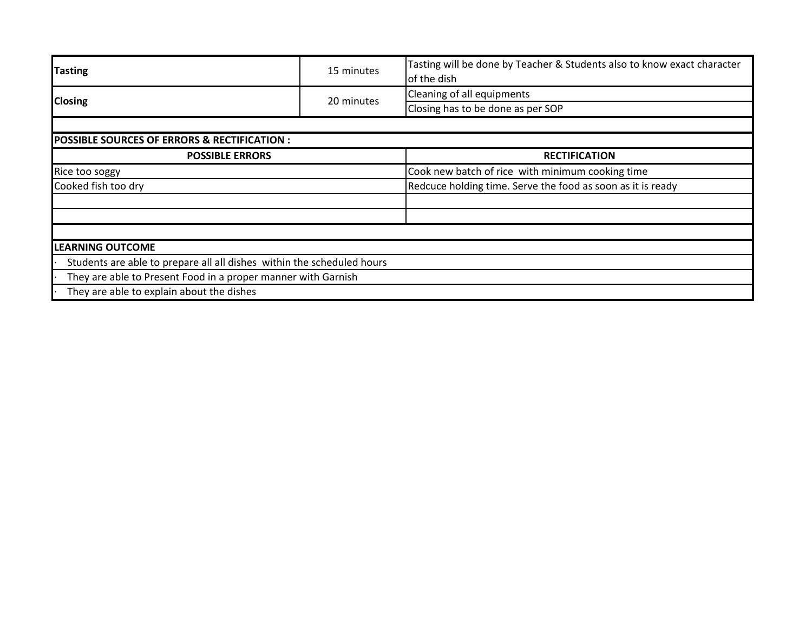| <b>Tasting</b>                                                         | 15 minutes | Tasting will be done by Teacher & Students also to know exact character<br>of the dish |
|------------------------------------------------------------------------|------------|----------------------------------------------------------------------------------------|
| <b>Closing</b>                                                         | 20 minutes | Cleaning of all equipments                                                             |
|                                                                        |            | Closing has to be done as per SOP                                                      |
|                                                                        |            |                                                                                        |
| <b>POSSIBLE SOURCES OF ERRORS &amp; RECTIFICATION:</b>                 |            |                                                                                        |
| <b>POSSIBLE ERRORS</b>                                                 |            | <b>RECTIFICATION</b>                                                                   |
| Rice too soggy                                                         |            | Cook new batch of rice with minimum cooking time                                       |
| Cooked fish too dry                                                    |            | Redcuce holding time. Serve the food as soon as it is ready                            |
|                                                                        |            |                                                                                        |
|                                                                        |            |                                                                                        |
|                                                                        |            |                                                                                        |
| <b>LEARNING OUTCOME</b>                                                |            |                                                                                        |
| Students are able to prepare all all dishes within the scheduled hours |            |                                                                                        |
| They are able to Present Food in a proper manner with Garnish          |            |                                                                                        |
| They are able to explain about the dishes                              |            |                                                                                        |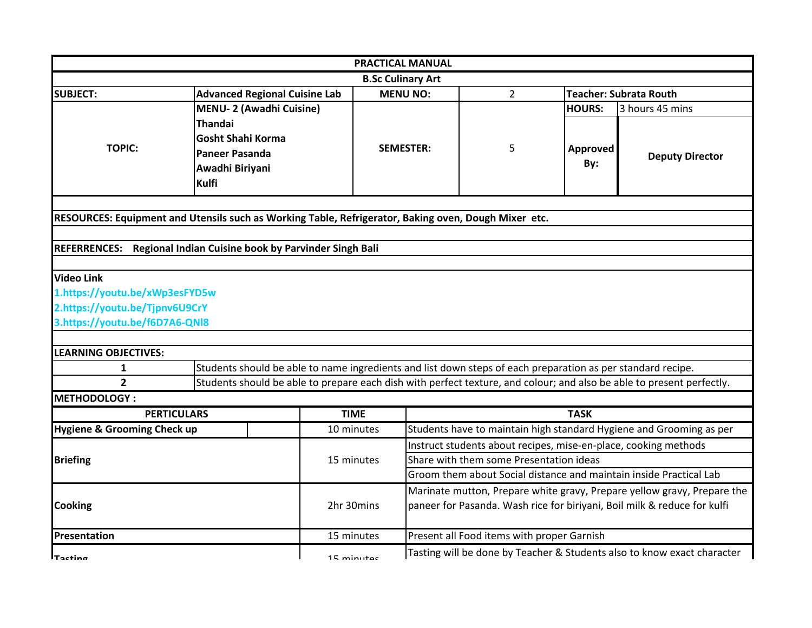| <b>PRACTICAL MANUAL</b>                                                                              |                                                                                          |                                                                                                             |              |                                                                    |                                            |                 |                                                                                                                       |
|------------------------------------------------------------------------------------------------------|------------------------------------------------------------------------------------------|-------------------------------------------------------------------------------------------------------------|--------------|--------------------------------------------------------------------|--------------------------------------------|-----------------|-----------------------------------------------------------------------------------------------------------------------|
|                                                                                                      |                                                                                          |                                                                                                             |              | <b>B.Sc Culinary Art</b>                                           |                                            |                 |                                                                                                                       |
| <b>SUBJECT:</b>                                                                                      |                                                                                          | <b>Advanced Regional Cuisine Lab</b>                                                                        |              | <b>MENU NO:</b>                                                    | $\overline{2}$                             |                 | <b>Teacher: Subrata Routh</b>                                                                                         |
|                                                                                                      |                                                                                          | <b>MENU-2 (Awadhi Cuisine)</b>                                                                              |              |                                                                    |                                            | <b>HOURS:</b>   | 3 hours 45 mins                                                                                                       |
| <b>TOPIC:</b>                                                                                        | Thandai<br><b>Gosht Shahi Korma</b><br><b>Paneer Pasanda</b><br>Awadhi Biriyani<br>Kulfi |                                                                                                             |              | <b>SEMESTER:</b>                                                   | 5                                          | Approved<br>By: | <b>Deputy Director</b>                                                                                                |
|                                                                                                      |                                                                                          |                                                                                                             |              |                                                                    |                                            |                 |                                                                                                                       |
| RESOURCES: Equipment and Utensils such as Working Table, Refrigerator, Baking oven, Dough Mixer etc. |                                                                                          |                                                                                                             |              |                                                                    |                                            |                 |                                                                                                                       |
|                                                                                                      |                                                                                          |                                                                                                             |              |                                                                    |                                            |                 |                                                                                                                       |
| <b>REFERRENCES:</b>                                                                                  |                                                                                          | Regional Indian Cuisine book by Parvinder Singh Bali                                                        |              |                                                                    |                                            |                 |                                                                                                                       |
|                                                                                                      |                                                                                          |                                                                                                             |              |                                                                    |                                            |                 |                                                                                                                       |
| <b>Video Link</b>                                                                                    |                                                                                          |                                                                                                             |              |                                                                    |                                            |                 |                                                                                                                       |
| 1.https://youtu.be/xWp3esFYD5w                                                                       |                                                                                          |                                                                                                             |              |                                                                    |                                            |                 |                                                                                                                       |
| 2.https://youtu.be/Tjpnv6U9CrY                                                                       |                                                                                          |                                                                                                             |              |                                                                    |                                            |                 |                                                                                                                       |
| 3.https://youtu.be/f6D7A6-QNI8                                                                       |                                                                                          |                                                                                                             |              |                                                                    |                                            |                 |                                                                                                                       |
|                                                                                                      |                                                                                          |                                                                                                             |              |                                                                    |                                            |                 |                                                                                                                       |
| <b>LEARNING OBJECTIVES:</b>                                                                          |                                                                                          |                                                                                                             |              |                                                                    |                                            |                 |                                                                                                                       |
| 1                                                                                                    |                                                                                          | Students should be able to name ingredients and list down steps of each preparation as per standard recipe. |              |                                                                    |                                            |                 |                                                                                                                       |
| $\overline{2}$                                                                                       |                                                                                          |                                                                                                             |              |                                                                    |                                            |                 | Students should be able to prepare each dish with perfect texture, and colour; and also be able to present perfectly. |
| <b>METHODOLOGY:</b>                                                                                  |                                                                                          |                                                                                                             |              |                                                                    |                                            |                 |                                                                                                                       |
|                                                                                                      | <b>PERTICULARS</b>                                                                       |                                                                                                             | <b>TIME</b>  |                                                                    |                                            | <b>TASK</b>     |                                                                                                                       |
| <b>Hygiene &amp; Grooming Check up</b>                                                               |                                                                                          |                                                                                                             | 10 minutes   |                                                                    |                                            |                 | Students have to maintain high standard Hygiene and Grooming as per                                                   |
|                                                                                                      |                                                                                          |                                                                                                             |              |                                                                    |                                            |                 | Instruct students about recipes, mise-en-place, cooking methods                                                       |
| <b>Briefing</b>                                                                                      |                                                                                          |                                                                                                             | 15 minutes   | Share with them some Presentation ideas                            |                                            |                 |                                                                                                                       |
|                                                                                                      |                                                                                          |                                                                                                             |              | Groom them about Social distance and maintain inside Practical Lab |                                            |                 |                                                                                                                       |
|                                                                                                      |                                                                                          |                                                                                                             |              |                                                                    |                                            |                 | Marinate mutton, Prepare white gravy, Prepare yellow gravy, Prepare the                                               |
| <b>Cooking</b>                                                                                       |                                                                                          |                                                                                                             | 2hr 30mins   |                                                                    |                                            |                 | paneer for Pasanda. Wash rice for biriyani, Boil milk & reduce for kulfi                                              |
| Presentation                                                                                         |                                                                                          |                                                                                                             | 15 minutes   |                                                                    | Present all Food items with proper Garnish |                 |                                                                                                                       |
| ITactina                                                                                             |                                                                                          |                                                                                                             | $15$ minutac |                                                                    |                                            |                 | Tasting will be done by Teacher & Students also to know exact character                                               |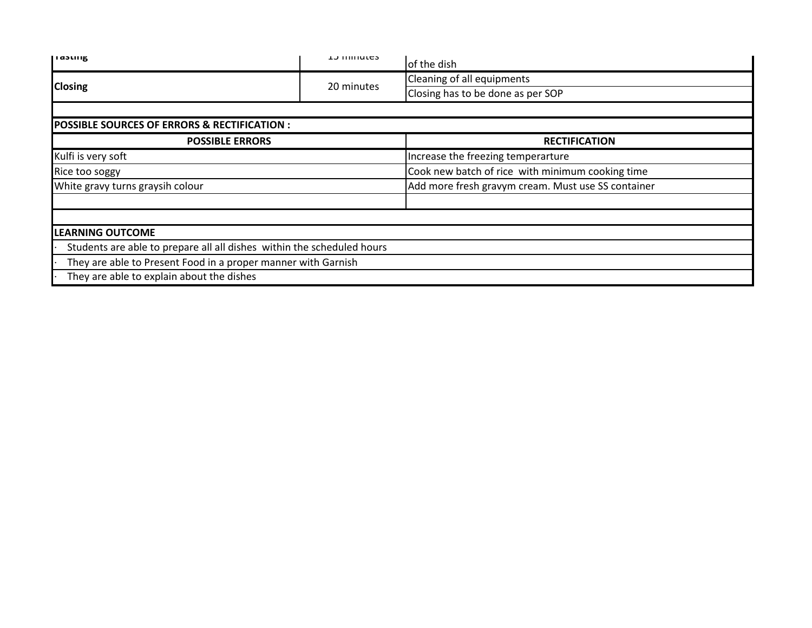| паэшқ                                                                  | <b>LJ IIIIIIULUS</b> | of the dish                                        |  |  |
|------------------------------------------------------------------------|----------------------|----------------------------------------------------|--|--|
|                                                                        |                      | Cleaning of all equipments                         |  |  |
| <b>Closing</b>                                                         | 20 minutes           | Closing has to be done as per SOP                  |  |  |
|                                                                        |                      |                                                    |  |  |
| <b>POSSIBLE SOURCES OF ERRORS &amp; RECTIFICATION :</b>                |                      |                                                    |  |  |
| <b>POSSIBLE ERRORS</b>                                                 |                      | <b>RECTIFICATION</b>                               |  |  |
| Kulfi is very soft                                                     |                      | Increase the freezing temperarture                 |  |  |
| Rice too soggy                                                         |                      | Cook new batch of rice with minimum cooking time   |  |  |
| White gravy turns graysih colour                                       |                      | Add more fresh gravym cream. Must use SS container |  |  |
|                                                                        |                      |                                                    |  |  |
| <b>LEARNING OUTCOME</b>                                                |                      |                                                    |  |  |
| Students are able to prepare all all dishes within the scheduled hours |                      |                                                    |  |  |
| They are able to Present Food in a proper manner with Garnish          |                      |                                                    |  |  |
| They are able to explain about the dishes                              |                      |                                                    |  |  |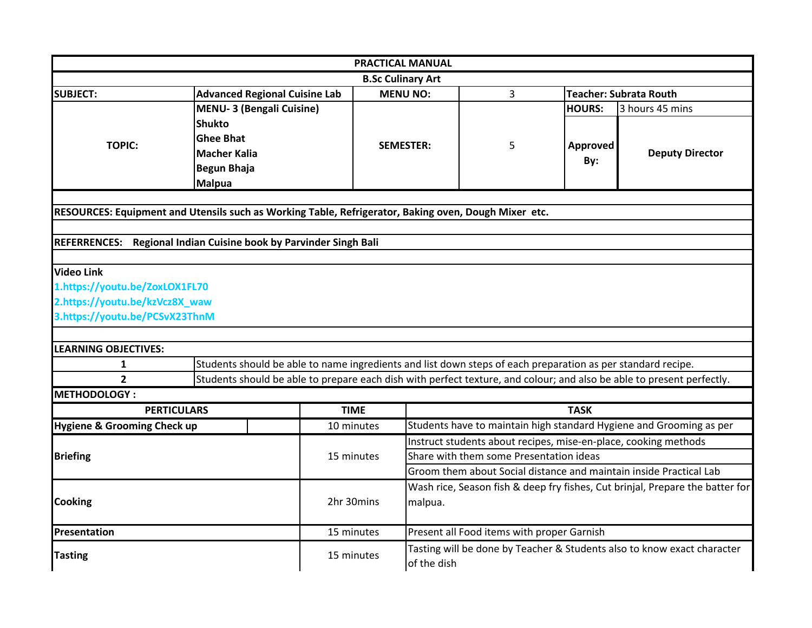|                                                                  |                                                                                                             |             | <b>PRACTICAL MANUAL</b>  |                                                                    |               |                                                                                                                       |  |
|------------------------------------------------------------------|-------------------------------------------------------------------------------------------------------------|-------------|--------------------------|--------------------------------------------------------------------|---------------|-----------------------------------------------------------------------------------------------------------------------|--|
|                                                                  |                                                                                                             |             | <b>B.Sc Culinary Art</b> |                                                                    |               |                                                                                                                       |  |
| <b>SUBJECT:</b>                                                  | <b>Advanced Regional Cuisine Lab</b>                                                                        |             | <b>MENU NO:</b>          | 3                                                                  |               | <b>Teacher: Subrata Routh</b>                                                                                         |  |
|                                                                  | <b>MENU-3 (Bengali Cuisine)</b>                                                                             |             |                          |                                                                    | <b>HOURS:</b> | 3 hours 45 mins                                                                                                       |  |
|                                                                  | <b>Shukto</b><br><b>Ghee Bhat</b>                                                                           |             |                          |                                                                    |               |                                                                                                                       |  |
| <b>TOPIC:</b>                                                    | <b>Macher Kalia</b>                                                                                         |             | <b>SEMESTER:</b>         | 5                                                                  | Approved      | <b>Deputy Director</b>                                                                                                |  |
|                                                                  | <b>Begun Bhaja</b>                                                                                          |             |                          |                                                                    | By:           |                                                                                                                       |  |
|                                                                  | <b>Malpua</b>                                                                                               |             |                          |                                                                    |               |                                                                                                                       |  |
|                                                                  |                                                                                                             |             |                          |                                                                    |               |                                                                                                                       |  |
|                                                                  | RESOURCES: Equipment and Utensils such as Working Table, Refrigerator, Baking oven, Dough Mixer etc.        |             |                          |                                                                    |               |                                                                                                                       |  |
|                                                                  |                                                                                                             |             |                          |                                                                    |               |                                                                                                                       |  |
|                                                                  | REFERRENCES: Regional Indian Cuisine book by Parvinder Singh Bali                                           |             |                          |                                                                    |               |                                                                                                                       |  |
|                                                                  |                                                                                                             |             |                          |                                                                    |               |                                                                                                                       |  |
| <b>Video Link</b>                                                |                                                                                                             |             |                          |                                                                    |               |                                                                                                                       |  |
| 1.https://youtu.be/ZoxLOX1FL70<br>2.https://youtu.be/kzVcz8X_waw |                                                                                                             |             |                          |                                                                    |               |                                                                                                                       |  |
| 3.https://youtu.be/PCSvX23ThnM                                   |                                                                                                             |             |                          |                                                                    |               |                                                                                                                       |  |
|                                                                  |                                                                                                             |             |                          |                                                                    |               |                                                                                                                       |  |
| <b>LEARNING OBJECTIVES:</b>                                      |                                                                                                             |             |                          |                                                                    |               |                                                                                                                       |  |
| 1                                                                | Students should be able to name ingredients and list down steps of each preparation as per standard recipe. |             |                          |                                                                    |               |                                                                                                                       |  |
| $\overline{2}$                                                   |                                                                                                             |             |                          |                                                                    |               | Students should be able to prepare each dish with perfect texture, and colour; and also be able to present perfectly. |  |
| <b>METHODOLOGY:</b>                                              |                                                                                                             |             |                          |                                                                    |               |                                                                                                                       |  |
|                                                                  | <b>PERTICULARS</b>                                                                                          | <b>TIME</b> |                          |                                                                    | <b>TASK</b>   |                                                                                                                       |  |
| Hygiene & Grooming Check up                                      |                                                                                                             | 10 minutes  |                          |                                                                    |               | Students have to maintain high standard Hygiene and Grooming as per                                                   |  |
|                                                                  |                                                                                                             |             |                          |                                                                    |               | Instruct students about recipes, mise-en-place, cooking methods                                                       |  |
| <b>Briefing</b>                                                  |                                                                                                             | 15 minutes  |                          | Share with them some Presentation ideas                            |               |                                                                                                                       |  |
|                                                                  |                                                                                                             |             |                          | Groom them about Social distance and maintain inside Practical Lab |               |                                                                                                                       |  |
| <b>Cooking</b>                                                   |                                                                                                             |             |                          |                                                                    |               | Wash rice, Season fish & deep fry fishes, Cut brinjal, Prepare the batter for                                         |  |
|                                                                  |                                                                                                             | 2hr 30mins  |                          | malpua.                                                            |               |                                                                                                                       |  |
|                                                                  |                                                                                                             |             |                          |                                                                    |               |                                                                                                                       |  |
| Presentation                                                     |                                                                                                             | 15 minutes  |                          | Present all Food items with proper Garnish                         |               |                                                                                                                       |  |
| <b>Tasting</b>                                                   |                                                                                                             | 15 minutes  |                          |                                                                    |               | Tasting will be done by Teacher & Students also to know exact character                                               |  |
|                                                                  |                                                                                                             |             |                          | of the dish                                                        |               |                                                                                                                       |  |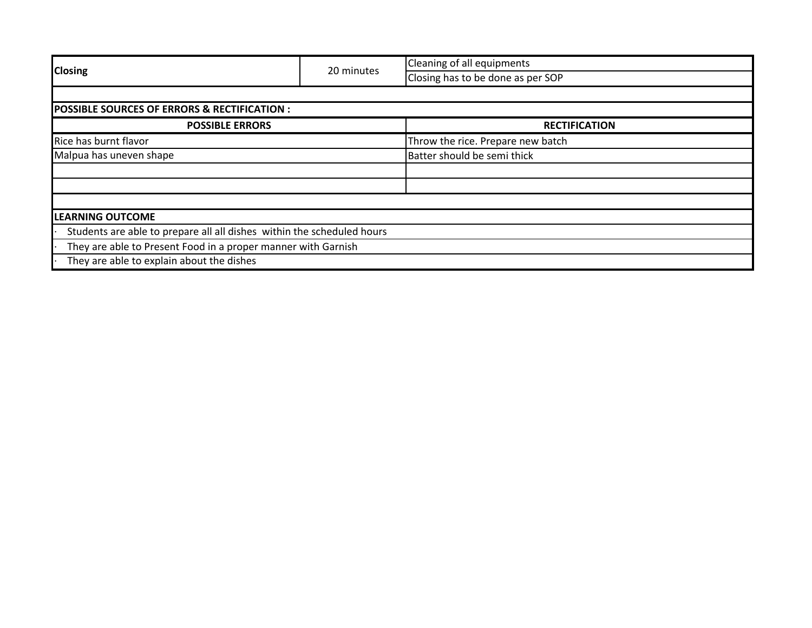|                                                                        |            | Cleaning of all equipments        |  |
|------------------------------------------------------------------------|------------|-----------------------------------|--|
| <b>Closing</b>                                                         | 20 minutes | Closing has to be done as per SOP |  |
|                                                                        |            |                                   |  |
| <b>POSSIBLE SOURCES OF ERRORS &amp; RECTIFICATION :</b>                |            |                                   |  |
| <b>POSSIBLE ERRORS</b>                                                 |            | <b>RECTIFICATION</b>              |  |
| Rice has burnt flavor                                                  |            | Throw the rice. Prepare new batch |  |
| Malpua has uneven shape                                                |            | Batter should be semi thick       |  |
|                                                                        |            |                                   |  |
|                                                                        |            |                                   |  |
|                                                                        |            |                                   |  |
| <b>LEARNING OUTCOME</b>                                                |            |                                   |  |
| Students are able to prepare all all dishes within the scheduled hours |            |                                   |  |
| They are able to Present Food in a proper manner with Garnish          |            |                                   |  |
| They are able to explain about the dishes                              |            |                                   |  |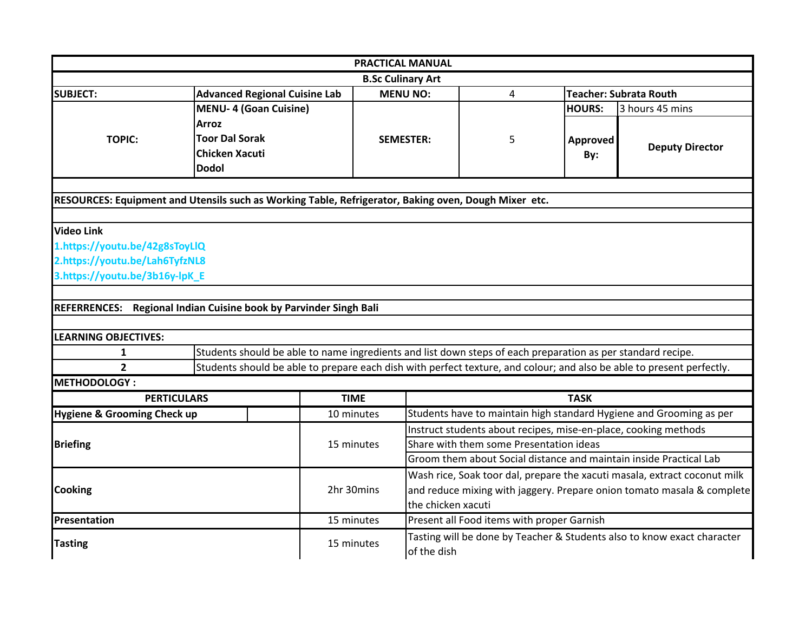|                                        | <b>PRACTICAL MANUAL</b>                                                                                               |                          |                                                                    |                                                                 |               |                                                                           |  |  |
|----------------------------------------|-----------------------------------------------------------------------------------------------------------------------|--------------------------|--------------------------------------------------------------------|-----------------------------------------------------------------|---------------|---------------------------------------------------------------------------|--|--|
|                                        |                                                                                                                       | <b>B.Sc Culinary Art</b> |                                                                    |                                                                 |               |                                                                           |  |  |
| <b>SUBJECT:</b>                        | <b>Advanced Regional Cuisine Lab</b>                                                                                  |                          | <b>MENU NO:</b>                                                    | 4                                                               |               | <b>Teacher: Subrata Routh</b>                                             |  |  |
|                                        | <b>MENU-4 (Goan Cuisine)</b>                                                                                          |                          |                                                                    |                                                                 | <b>HOURS:</b> | 3 hours 45 mins                                                           |  |  |
|                                        | <b>Arroz</b>                                                                                                          |                          |                                                                    |                                                                 |               |                                                                           |  |  |
| <b>TOPIC:</b>                          | <b>Toor Dal Sorak</b>                                                                                                 |                          | <b>SEMESTER:</b>                                                   | 5                                                               | Approved      |                                                                           |  |  |
|                                        | <b>Chicken Xacuti</b>                                                                                                 |                          |                                                                    |                                                                 | By:           | <b>Deputy Director</b>                                                    |  |  |
|                                        | <b>Dodol</b>                                                                                                          |                          |                                                                    |                                                                 |               |                                                                           |  |  |
|                                        |                                                                                                                       |                          |                                                                    |                                                                 |               |                                                                           |  |  |
|                                        | RESOURCES: Equipment and Utensils such as Working Table, Refrigerator, Baking oven, Dough Mixer etc.                  |                          |                                                                    |                                                                 |               |                                                                           |  |  |
|                                        |                                                                                                                       |                          |                                                                    |                                                                 |               |                                                                           |  |  |
| <b>Video Link</b>                      |                                                                                                                       |                          |                                                                    |                                                                 |               |                                                                           |  |  |
| 1.https://youtu.be/42g8sToyLlQ         |                                                                                                                       |                          |                                                                    |                                                                 |               |                                                                           |  |  |
| 2.https://youtu.be/Lah6TyfzNL8         |                                                                                                                       |                          |                                                                    |                                                                 |               |                                                                           |  |  |
| 3.https://youtu.be/3b16y-lpK_E         |                                                                                                                       |                          |                                                                    |                                                                 |               |                                                                           |  |  |
|                                        |                                                                                                                       |                          |                                                                    |                                                                 |               |                                                                           |  |  |
|                                        | REFERRENCES: Regional Indian Cuisine book by Parvinder Singh Bali                                                     |                          |                                                                    |                                                                 |               |                                                                           |  |  |
| <b>LEARNING OBJECTIVES:</b>            |                                                                                                                       |                          |                                                                    |                                                                 |               |                                                                           |  |  |
| 1                                      | Students should be able to name ingredients and list down steps of each preparation as per standard recipe.           |                          |                                                                    |                                                                 |               |                                                                           |  |  |
| $\overline{2}$                         | Students should be able to prepare each dish with perfect texture, and colour; and also be able to present perfectly. |                          |                                                                    |                                                                 |               |                                                                           |  |  |
| <b>METHODOLOGY:</b>                    |                                                                                                                       |                          |                                                                    |                                                                 |               |                                                                           |  |  |
| <b>PERTICULARS</b>                     |                                                                                                                       | <b>TIME</b>              |                                                                    |                                                                 | <b>TASK</b>   |                                                                           |  |  |
| <b>Hygiene &amp; Grooming Check up</b> |                                                                                                                       | 10 minutes               |                                                                    |                                                                 |               | Students have to maintain high standard Hygiene and Grooming as per       |  |  |
|                                        |                                                                                                                       |                          |                                                                    | Instruct students about recipes, mise-en-place, cooking methods |               |                                                                           |  |  |
| <b>Briefing</b>                        |                                                                                                                       | 15 minutes               | Share with them some Presentation ideas                            |                                                                 |               |                                                                           |  |  |
|                                        |                                                                                                                       |                          | Groom them about Social distance and maintain inside Practical Lab |                                                                 |               |                                                                           |  |  |
|                                        |                                                                                                                       |                          |                                                                    |                                                                 |               | Wash rice, Soak toor dal, prepare the xacuti masala, extract coconut milk |  |  |
| <b>Cooking</b>                         |                                                                                                                       | 2hr 30mins               |                                                                    |                                                                 |               | and reduce mixing with jaggery. Prepare onion tomato masala & complete    |  |  |
|                                        |                                                                                                                       |                          | the chicken xacuti                                                 |                                                                 |               |                                                                           |  |  |
| Presentation                           |                                                                                                                       | 15 minutes               |                                                                    | Present all Food items with proper Garnish                      |               |                                                                           |  |  |
|                                        |                                                                                                                       |                          |                                                                    |                                                                 |               | Tasting will be done by Teacher & Students also to know exact character   |  |  |
| <b>Tasting</b>                         |                                                                                                                       | 15 minutes               | of the dish                                                        |                                                                 |               |                                                                           |  |  |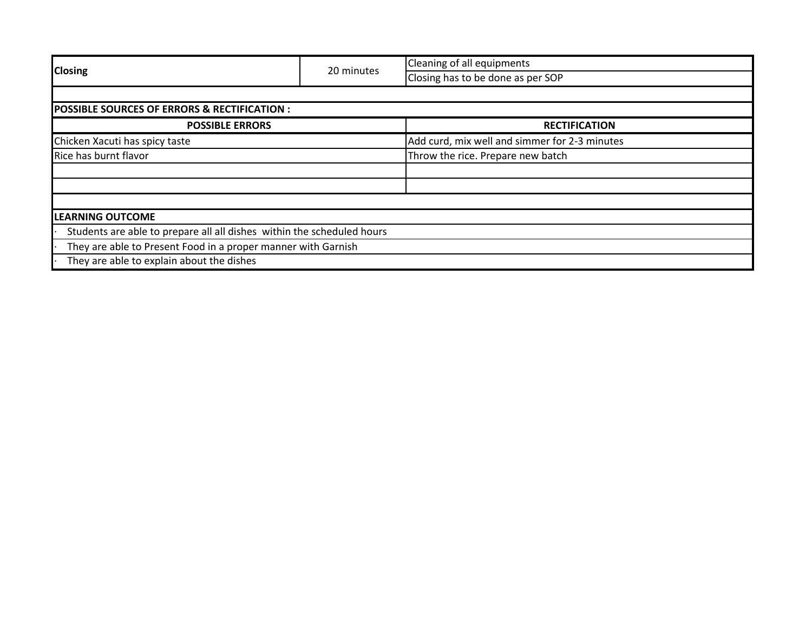|                                                                        |            | Cleaning of all equipments                    |  |
|------------------------------------------------------------------------|------------|-----------------------------------------------|--|
| <b>Closing</b>                                                         | 20 minutes | Closing has to be done as per SOP             |  |
|                                                                        |            |                                               |  |
| <b>POSSIBLE SOURCES OF ERRORS &amp; RECTIFICATION :</b>                |            |                                               |  |
| <b>POSSIBLE ERRORS</b>                                                 |            | <b>RECTIFICATION</b>                          |  |
| Chicken Xacuti has spicy taste                                         |            | Add curd, mix well and simmer for 2-3 minutes |  |
| Rice has burnt flavor                                                  |            | Throw the rice. Prepare new batch             |  |
|                                                                        |            |                                               |  |
|                                                                        |            |                                               |  |
|                                                                        |            |                                               |  |
| <b>LEARNING OUTCOME</b>                                                |            |                                               |  |
| Students are able to prepare all all dishes within the scheduled hours |            |                                               |  |
| They are able to Present Food in a proper manner with Garnish          |            |                                               |  |
| They are able to explain about the dishes                              |            |                                               |  |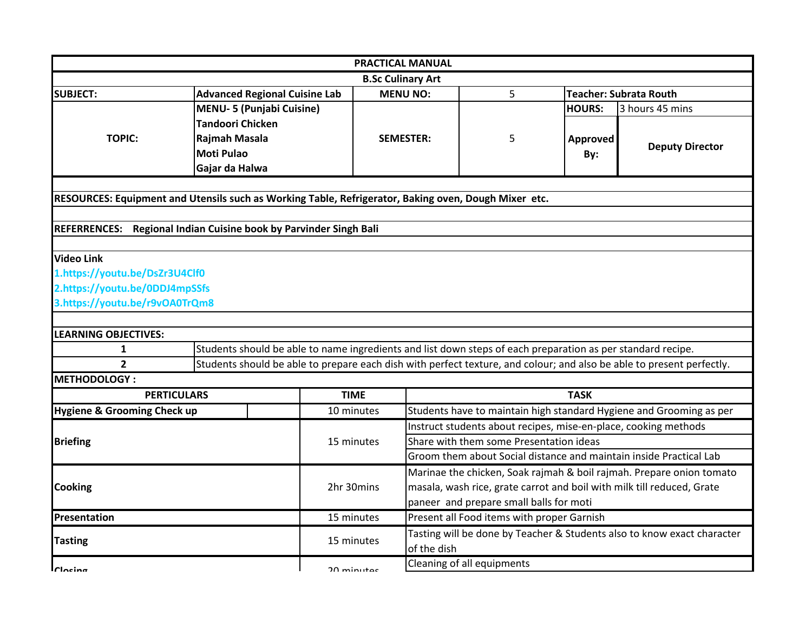| <b>PRACTICAL MANUAL</b>                                                                              |                         |                                                                                                             |                                         |                                                                     |                                                                         |                                                                      |                                                                                                                       |  |
|------------------------------------------------------------------------------------------------------|-------------------------|-------------------------------------------------------------------------------------------------------------|-----------------------------------------|---------------------------------------------------------------------|-------------------------------------------------------------------------|----------------------------------------------------------------------|-----------------------------------------------------------------------------------------------------------------------|--|
| <b>B.Sc Culinary Art</b>                                                                             |                         |                                                                                                             |                                         |                                                                     |                                                                         |                                                                      |                                                                                                                       |  |
| <b>SUBJECT:</b>                                                                                      |                         | <b>Advanced Regional Cuisine Lab</b>                                                                        |                                         | <b>MENU NO:</b>                                                     | 5                                                                       |                                                                      | <b>Teacher: Subrata Routh</b>                                                                                         |  |
|                                                                                                      |                         | <b>MENU-5 (Punjabi Cuisine)</b>                                                                             |                                         |                                                                     |                                                                         | <b>HOURS:</b>                                                        | 3 hours 45 mins                                                                                                       |  |
|                                                                                                      | <b>Tandoori Chicken</b> |                                                                                                             |                                         |                                                                     |                                                                         |                                                                      |                                                                                                                       |  |
| <b>TOPIC:</b>                                                                                        | Rajmah Masala           |                                                                                                             |                                         | <b>SEMESTER:</b>                                                    | 5                                                                       | Approved                                                             |                                                                                                                       |  |
|                                                                                                      | <b>Moti Pulao</b>       |                                                                                                             |                                         |                                                                     |                                                                         | By:                                                                  | <b>Deputy Director</b>                                                                                                |  |
|                                                                                                      | Gajar da Halwa          |                                                                                                             |                                         |                                                                     |                                                                         |                                                                      |                                                                                                                       |  |
|                                                                                                      |                         |                                                                                                             |                                         |                                                                     |                                                                         |                                                                      |                                                                                                                       |  |
| RESOURCES: Equipment and Utensils such as Working Table, Refrigerator, Baking oven, Dough Mixer etc. |                         |                                                                                                             |                                         |                                                                     |                                                                         |                                                                      |                                                                                                                       |  |
|                                                                                                      |                         |                                                                                                             |                                         |                                                                     |                                                                         |                                                                      |                                                                                                                       |  |
| <b>REFERRENCES:</b>                                                                                  |                         | Regional Indian Cuisine book by Parvinder Singh Bali                                                        |                                         |                                                                     |                                                                         |                                                                      |                                                                                                                       |  |
|                                                                                                      |                         |                                                                                                             |                                         |                                                                     |                                                                         |                                                                      |                                                                                                                       |  |
| <b>Video Link</b>                                                                                    |                         |                                                                                                             |                                         |                                                                     |                                                                         |                                                                      |                                                                                                                       |  |
| 1.https://youtu.be/DsZr3U4Clf0                                                                       |                         |                                                                                                             |                                         |                                                                     |                                                                         |                                                                      |                                                                                                                       |  |
| 2.https://youtu.be/0DDJ4mpSSfs                                                                       |                         |                                                                                                             |                                         |                                                                     |                                                                         |                                                                      |                                                                                                                       |  |
| 3.https://youtu.be/r9vOA0TrQm8                                                                       |                         |                                                                                                             |                                         |                                                                     |                                                                         |                                                                      |                                                                                                                       |  |
|                                                                                                      |                         |                                                                                                             |                                         |                                                                     |                                                                         |                                                                      |                                                                                                                       |  |
| <b>LEARNING OBJECTIVES:</b>                                                                          |                         |                                                                                                             |                                         |                                                                     |                                                                         |                                                                      |                                                                                                                       |  |
| 1                                                                                                    |                         | Students should be able to name ingredients and list down steps of each preparation as per standard recipe. |                                         |                                                                     |                                                                         |                                                                      |                                                                                                                       |  |
| $\overline{2}$                                                                                       |                         |                                                                                                             |                                         |                                                                     |                                                                         |                                                                      | Students should be able to prepare each dish with perfect texture, and colour; and also be able to present perfectly. |  |
| <b>METHODOLOGY:</b>                                                                                  |                         |                                                                                                             |                                         |                                                                     |                                                                         |                                                                      |                                                                                                                       |  |
| <b>PERTICULARS</b>                                                                                   |                         |                                                                                                             | <b>TIME</b>                             |                                                                     |                                                                         | <b>TASK</b>                                                          |                                                                                                                       |  |
| <b>Hygiene &amp; Grooming Check up</b>                                                               |                         |                                                                                                             | 10 minutes                              | Students have to maintain high standard Hygiene and Grooming as per |                                                                         |                                                                      |                                                                                                                       |  |
|                                                                                                      |                         |                                                                                                             |                                         | Instruct students about recipes, mise-en-place, cooking methods     |                                                                         |                                                                      |                                                                                                                       |  |
| <b>Briefing</b>                                                                                      |                         |                                                                                                             | 15 minutes                              | Share with them some Presentation ideas                             |                                                                         |                                                                      |                                                                                                                       |  |
|                                                                                                      |                         |                                                                                                             |                                         | Groom them about Social distance and maintain inside Practical Lab  |                                                                         |                                                                      |                                                                                                                       |  |
|                                                                                                      |                         |                                                                                                             |                                         |                                                                     |                                                                         | Marinae the chicken, Soak rajmah & boil rajmah. Prepare onion tomato |                                                                                                                       |  |
| <b>Cooking</b>                                                                                       |                         |                                                                                                             | 2hr 30mins                              |                                                                     |                                                                         |                                                                      | masala, wash rice, grate carrot and boil with milk till reduced, Grate                                                |  |
|                                                                                                      |                         |                                                                                                             | paneer and prepare small balls for moti |                                                                     |                                                                         |                                                                      |                                                                                                                       |  |
| <b>Presentation</b>                                                                                  |                         |                                                                                                             | 15 minutes                              |                                                                     | Present all Food items with proper Garnish                              |                                                                      |                                                                                                                       |  |
| <b>Tasting</b>                                                                                       |                         |                                                                                                             | 15 minutes                              | of the dish                                                         | Tasting will be done by Teacher & Students also to know exact character |                                                                      |                                                                                                                       |  |
| $r$ locina                                                                                           |                         |                                                                                                             | $20$ minutar                            |                                                                     | Cleaning of all equipments                                              |                                                                      |                                                                                                                       |  |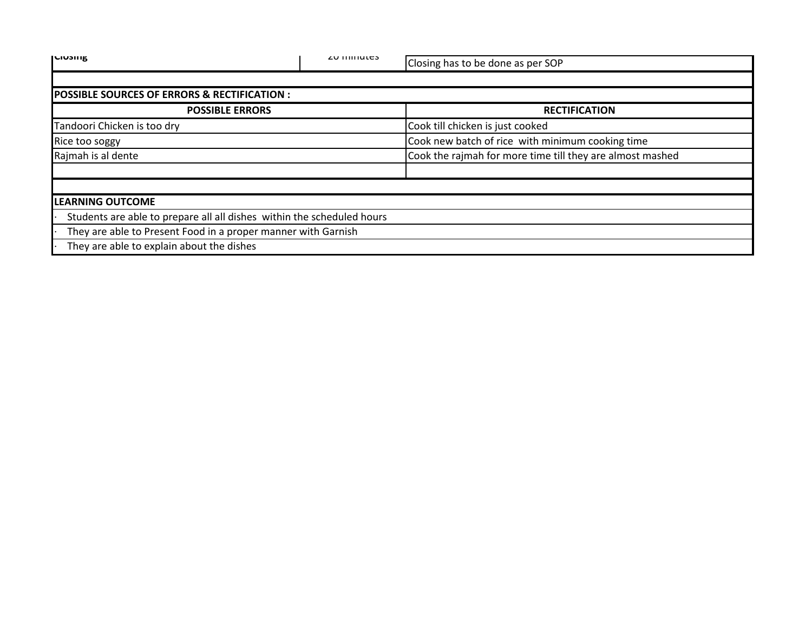| אוונטוען                                                               | <b>ZU IIIIIIULES</b> | Closing has to be done as per SOP                         |
|------------------------------------------------------------------------|----------------------|-----------------------------------------------------------|
|                                                                        |                      |                                                           |
| <b>POSSIBLE SOURCES OF ERRORS &amp; RECTIFICATION:</b>                 |                      |                                                           |
| <b>POSSIBLE ERRORS</b>                                                 |                      | <b>RECTIFICATION</b>                                      |
| Tandoori Chicken is too dry                                            |                      | Cook till chicken is just cooked                          |
| Rice too soggy                                                         |                      | Cook new batch of rice with minimum cooking time          |
| Rajmah is al dente                                                     |                      | Cook the rajmah for more time till they are almost mashed |
|                                                                        |                      |                                                           |
|                                                                        |                      |                                                           |
| <b>LEARNING OUTCOME</b>                                                |                      |                                                           |
| Students are able to prepare all all dishes within the scheduled hours |                      |                                                           |
| They are able to Present Food in a proper manner with Garnish          |                      |                                                           |
| They are able to explain about the dishes                              |                      |                                                           |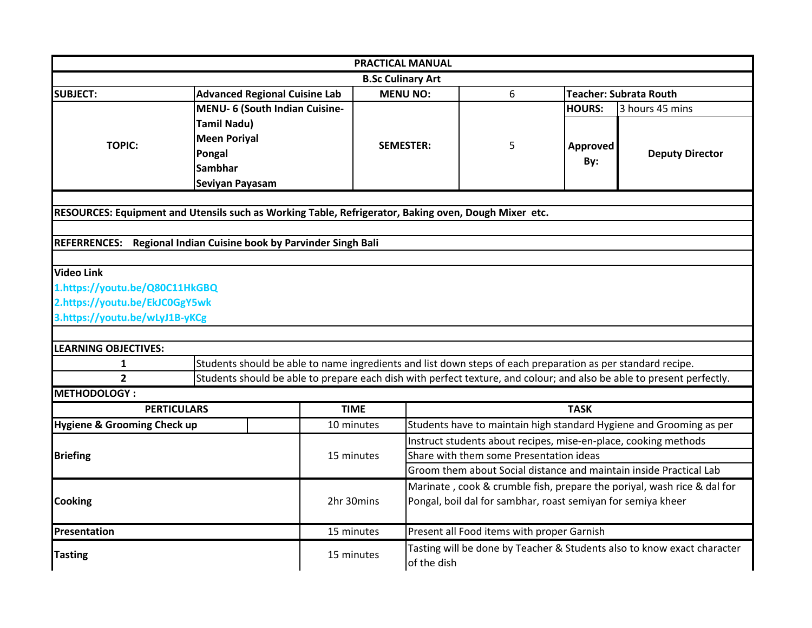|                                                                                                      |                                                                                                             |             | <b>PRACTICAL MANUAL</b>  |                                                                                        |               |                                                                                                                       |  |  |
|------------------------------------------------------------------------------------------------------|-------------------------------------------------------------------------------------------------------------|-------------|--------------------------|----------------------------------------------------------------------------------------|---------------|-----------------------------------------------------------------------------------------------------------------------|--|--|
|                                                                                                      |                                                                                                             |             | <b>B.Sc Culinary Art</b> |                                                                                        |               |                                                                                                                       |  |  |
| <b>SUBJECT:</b>                                                                                      | <b>Advanced Regional Cuisine Lab</b>                                                                        |             | <b>MENU NO:</b>          | 6                                                                                      |               | <b>Teacher: Subrata Routh</b>                                                                                         |  |  |
|                                                                                                      | MENU- 6 (South Indian Cuisine-                                                                              |             |                          |                                                                                        | <b>HOURS:</b> | 3 hours 45 mins                                                                                                       |  |  |
|                                                                                                      | <b>Tamil Nadu)</b>                                                                                          |             |                          |                                                                                        |               |                                                                                                                       |  |  |
| <b>TOPIC:</b>                                                                                        | <b>Meen Poriyal</b>                                                                                         |             | <b>SEMESTER:</b>         | 5                                                                                      |               |                                                                                                                       |  |  |
|                                                                                                      | Pongal                                                                                                      |             |                          |                                                                                        | Approved      | <b>Deputy Director</b>                                                                                                |  |  |
|                                                                                                      | <b>Sambhar</b>                                                                                              |             |                          |                                                                                        | By:           |                                                                                                                       |  |  |
|                                                                                                      | Seviyan Payasam                                                                                             |             |                          |                                                                                        |               |                                                                                                                       |  |  |
|                                                                                                      |                                                                                                             |             |                          |                                                                                        |               |                                                                                                                       |  |  |
| RESOURCES: Equipment and Utensils such as Working Table, Refrigerator, Baking oven, Dough Mixer etc. |                                                                                                             |             |                          |                                                                                        |               |                                                                                                                       |  |  |
|                                                                                                      |                                                                                                             |             |                          |                                                                                        |               |                                                                                                                       |  |  |
| REFERRENCES: Regional Indian Cuisine book by Parvinder Singh Bali                                    |                                                                                                             |             |                          |                                                                                        |               |                                                                                                                       |  |  |
| <b>Video Link</b>                                                                                    |                                                                                                             |             |                          |                                                                                        |               |                                                                                                                       |  |  |
| 1.https://youtu.be/Q80C11HkGBQ                                                                       |                                                                                                             |             |                          |                                                                                        |               |                                                                                                                       |  |  |
| 2.https://youtu.be/EkJC0GgY5wk                                                                       |                                                                                                             |             |                          |                                                                                        |               |                                                                                                                       |  |  |
| 3.https://youtu.be/wLyJ1B-yKCg                                                                       |                                                                                                             |             |                          |                                                                                        |               |                                                                                                                       |  |  |
|                                                                                                      |                                                                                                             |             |                          |                                                                                        |               |                                                                                                                       |  |  |
| <b>LEARNING OBJECTIVES:</b>                                                                          |                                                                                                             |             |                          |                                                                                        |               |                                                                                                                       |  |  |
| 1                                                                                                    | Students should be able to name ingredients and list down steps of each preparation as per standard recipe. |             |                          |                                                                                        |               |                                                                                                                       |  |  |
| $\overline{2}$                                                                                       |                                                                                                             |             |                          |                                                                                        |               | Students should be able to prepare each dish with perfect texture, and colour; and also be able to present perfectly. |  |  |
| METHODOLOGY:                                                                                         |                                                                                                             |             |                          |                                                                                        |               |                                                                                                                       |  |  |
| <b>PERTICULARS</b>                                                                                   |                                                                                                             | <b>TIME</b> |                          | <b>TASK</b>                                                                            |               |                                                                                                                       |  |  |
| <b>Hygiene &amp; Grooming Check up</b>                                                               |                                                                                                             | 10 minutes  |                          |                                                                                        |               | Students have to maintain high standard Hygiene and Grooming as per                                                   |  |  |
|                                                                                                      |                                                                                                             |             |                          | Instruct students about recipes, mise-en-place, cooking methods                        |               |                                                                                                                       |  |  |
| <b>Briefing</b>                                                                                      |                                                                                                             | 15 minutes  |                          | Share with them some Presentation ideas                                                |               |                                                                                                                       |  |  |
|                                                                                                      |                                                                                                             |             |                          | Groom them about Social distance and maintain inside Practical Lab                     |               |                                                                                                                       |  |  |
| <b>Cooking</b>                                                                                       |                                                                                                             |             |                          | Marinate, cook & crumble fish, prepare the poriyal, wash rice & dal for                |               |                                                                                                                       |  |  |
|                                                                                                      |                                                                                                             | 2hr 30mins  |                          | Pongal, boil dal for sambhar, roast semiyan for semiya kheer                           |               |                                                                                                                       |  |  |
|                                                                                                      |                                                                                                             |             |                          |                                                                                        |               |                                                                                                                       |  |  |
| Presentation                                                                                         |                                                                                                             | 15 minutes  |                          | Present all Food items with proper Garnish                                             |               |                                                                                                                       |  |  |
| <b>Tasting</b>                                                                                       |                                                                                                             | 15 minutes  |                          | Tasting will be done by Teacher & Students also to know exact character<br>of the dish |               |                                                                                                                       |  |  |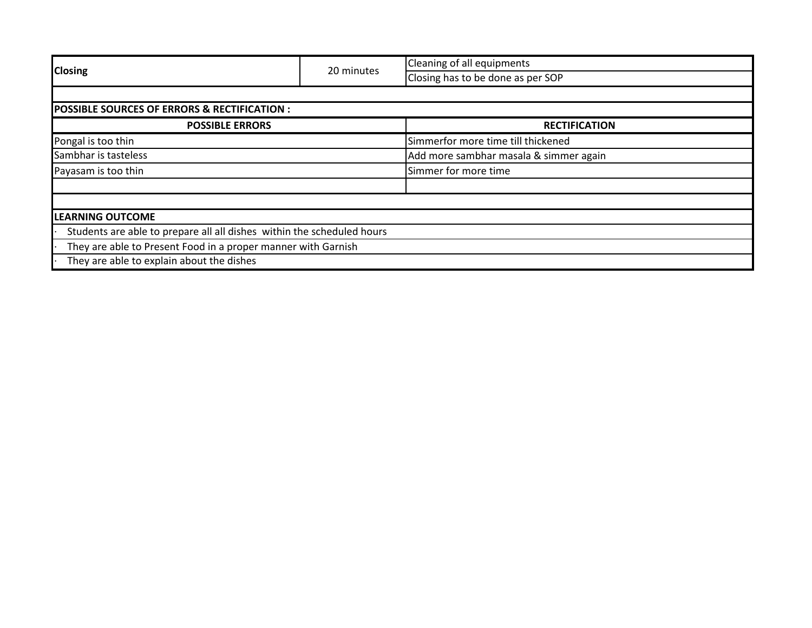|                                                                        |            | Cleaning of all equipments             |  |  |  |
|------------------------------------------------------------------------|------------|----------------------------------------|--|--|--|
| <b>Closing</b>                                                         | 20 minutes | Closing has to be done as per SOP      |  |  |  |
|                                                                        |            |                                        |  |  |  |
| <b>POSSIBLE SOURCES OF ERRORS &amp; RECTIFICATION :</b>                |            |                                        |  |  |  |
| <b>POSSIBLE ERRORS</b>                                                 |            | <b>RECTIFICATION</b>                   |  |  |  |
| Pongal is too thin                                                     |            | Simmerfor more time till thickened     |  |  |  |
| Sambhar is tasteless                                                   |            | Add more sambhar masala & simmer again |  |  |  |
| Payasam is too thin                                                    |            | Simmer for more time                   |  |  |  |
|                                                                        |            |                                        |  |  |  |
|                                                                        |            |                                        |  |  |  |
| <b>LEARNING OUTCOME</b>                                                |            |                                        |  |  |  |
| Students are able to prepare all all dishes within the scheduled hours |            |                                        |  |  |  |
| They are able to Present Food in a proper manner with Garnish          |            |                                        |  |  |  |
| They are able to explain about the dishes                              |            |                                        |  |  |  |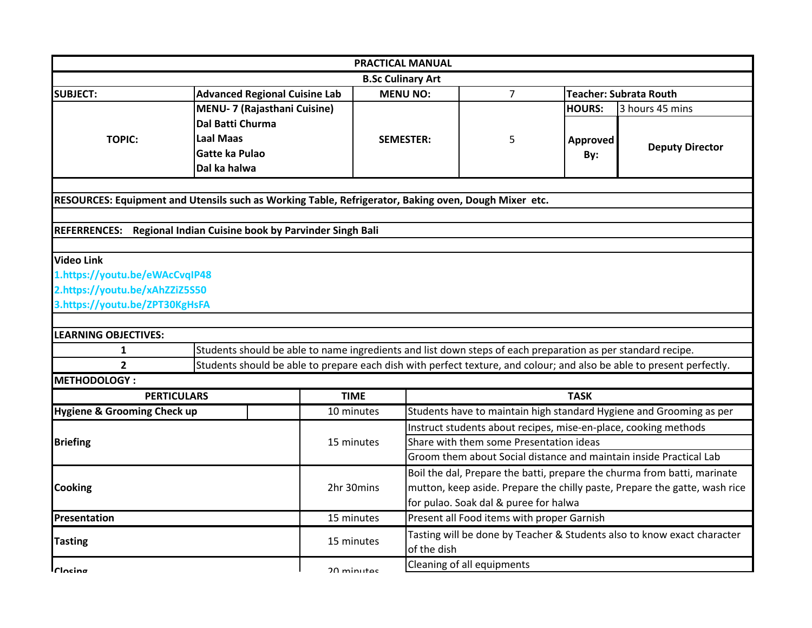|                                                                                                      |                    |                                                                                                             |              | <b>PRACTICAL MANUAL</b>                                                  |                                                                            |                 |                                                                                                                       |  |  |
|------------------------------------------------------------------------------------------------------|--------------------|-------------------------------------------------------------------------------------------------------------|--------------|--------------------------------------------------------------------------|----------------------------------------------------------------------------|-----------------|-----------------------------------------------------------------------------------------------------------------------|--|--|
|                                                                                                      |                    |                                                                                                             |              | <b>B.Sc Culinary Art</b>                                                 |                                                                            |                 |                                                                                                                       |  |  |
| <b>SUBJECT:</b>                                                                                      |                    | <b>Advanced Regional Cuisine Lab</b>                                                                        |              | <b>MENU NO:</b>                                                          | $\overline{7}$                                                             |                 | <b>Teacher: Subrata Routh</b>                                                                                         |  |  |
|                                                                                                      |                    | <b>MENU- 7 (Rajasthani Cuisine)</b>                                                                         |              |                                                                          |                                                                            | <b>HOURS:</b>   | 3 hours 45 mins                                                                                                       |  |  |
|                                                                                                      | Dal Batti Churma   |                                                                                                             |              |                                                                          |                                                                            |                 |                                                                                                                       |  |  |
| <b>TOPIC:</b>                                                                                        | <b>Laal Maas</b>   |                                                                                                             |              | <b>SEMESTER:</b>                                                         | 5                                                                          | <b>Approved</b> |                                                                                                                       |  |  |
|                                                                                                      | Gatte ka Pulao     |                                                                                                             |              |                                                                          |                                                                            | By:             | <b>Deputy Director</b>                                                                                                |  |  |
|                                                                                                      | Dal ka halwa       |                                                                                                             |              |                                                                          |                                                                            |                 |                                                                                                                       |  |  |
|                                                                                                      |                    |                                                                                                             |              |                                                                          |                                                                            |                 |                                                                                                                       |  |  |
| RESOURCES: Equipment and Utensils such as Working Table, Refrigerator, Baking oven, Dough Mixer etc. |                    |                                                                                                             |              |                                                                          |                                                                            |                 |                                                                                                                       |  |  |
|                                                                                                      |                    |                                                                                                             |              |                                                                          |                                                                            |                 |                                                                                                                       |  |  |
| <b>REFERRENCES:</b>                                                                                  |                    | Regional Indian Cuisine book by Parvinder Singh Bali                                                        |              |                                                                          |                                                                            |                 |                                                                                                                       |  |  |
|                                                                                                      |                    |                                                                                                             |              |                                                                          |                                                                            |                 |                                                                                                                       |  |  |
| <b>Video Link</b>                                                                                    |                    |                                                                                                             |              |                                                                          |                                                                            |                 |                                                                                                                       |  |  |
| 1.https://youtu.be/eWAcCvqIP48                                                                       |                    |                                                                                                             |              |                                                                          |                                                                            |                 |                                                                                                                       |  |  |
| 2.https://youtu.be/xAhZZiZ5S50                                                                       |                    |                                                                                                             |              |                                                                          |                                                                            |                 |                                                                                                                       |  |  |
| 3.https://youtu.be/ZPT30KgHsFA                                                                       |                    |                                                                                                             |              |                                                                          |                                                                            |                 |                                                                                                                       |  |  |
|                                                                                                      |                    |                                                                                                             |              |                                                                          |                                                                            |                 |                                                                                                                       |  |  |
| <b>LEARNING OBJECTIVES:</b>                                                                          |                    |                                                                                                             |              |                                                                          |                                                                            |                 |                                                                                                                       |  |  |
| 1                                                                                                    |                    | Students should be able to name ingredients and list down steps of each preparation as per standard recipe. |              |                                                                          |                                                                            |                 |                                                                                                                       |  |  |
| $\overline{2}$                                                                                       |                    |                                                                                                             |              |                                                                          |                                                                            |                 | Students should be able to prepare each dish with perfect texture, and colour; and also be able to present perfectly. |  |  |
| <b>METHODOLOGY:</b>                                                                                  |                    |                                                                                                             |              |                                                                          |                                                                            |                 |                                                                                                                       |  |  |
|                                                                                                      | <b>PERTICULARS</b> |                                                                                                             | <b>TIME</b>  |                                                                          |                                                                            | <b>TASK</b>     |                                                                                                                       |  |  |
| <b>Hygiene &amp; Grooming Check up</b>                                                               |                    |                                                                                                             | 10 minutes   |                                                                          | Students have to maintain high standard Hygiene and Grooming as per        |                 |                                                                                                                       |  |  |
|                                                                                                      |                    |                                                                                                             |              | Instruct students about recipes, mise-en-place, cooking methods          |                                                                            |                 |                                                                                                                       |  |  |
| <b>Briefing</b>                                                                                      |                    |                                                                                                             | 15 minutes   | Share with them some Presentation ideas                                  |                                                                            |                 |                                                                                                                       |  |  |
|                                                                                                      |                    |                                                                                                             |              |                                                                          | Groom them about Social distance and maintain inside Practical Lab         |                 |                                                                                                                       |  |  |
|                                                                                                      |                    |                                                                                                             |              | Boil the dal, Prepare the batti, prepare the churma from batti, marinate |                                                                            |                 |                                                                                                                       |  |  |
| <b>Cooking</b>                                                                                       |                    |                                                                                                             | 2hr 30mins   |                                                                          | mutton, keep aside. Prepare the chilly paste, Prepare the gatte, wash rice |                 |                                                                                                                       |  |  |
|                                                                                                      |                    |                                                                                                             |              | for pulao. Soak dal & puree for halwa                                    |                                                                            |                 |                                                                                                                       |  |  |
| Presentation                                                                                         |                    |                                                                                                             | 15 minutes   |                                                                          | Present all Food items with proper Garnish                                 |                 |                                                                                                                       |  |  |
|                                                                                                      |                    |                                                                                                             | 15 minutes   |                                                                          |                                                                            |                 | Tasting will be done by Teacher & Students also to know exact character                                               |  |  |
| <b>Tasting</b>                                                                                       |                    |                                                                                                             |              |                                                                          | of the dish                                                                |                 |                                                                                                                       |  |  |
| $r$ locina                                                                                           |                    |                                                                                                             | $20$ minutar |                                                                          | Cleaning of all equipments                                                 |                 |                                                                                                                       |  |  |
|                                                                                                      |                    |                                                                                                             |              |                                                                          |                                                                            |                 |                                                                                                                       |  |  |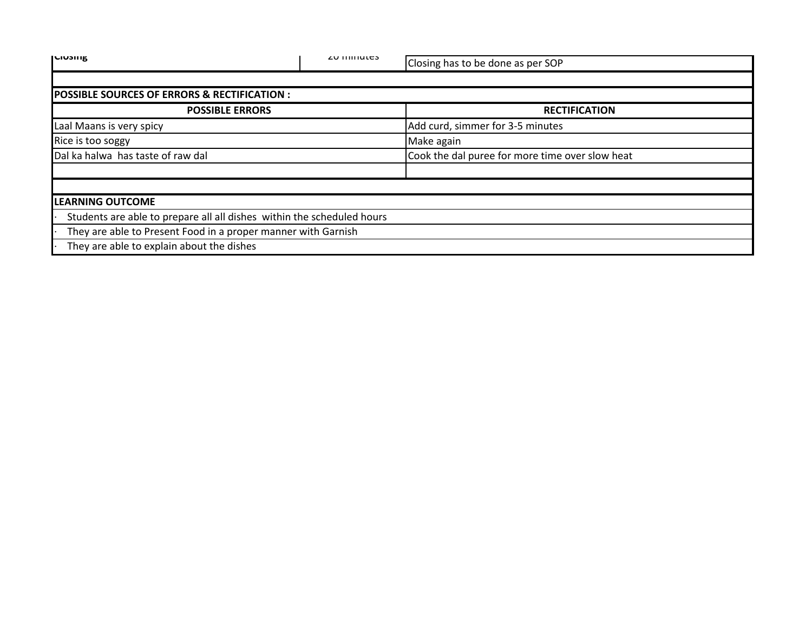| <b>ILIUSIIIK</b>                                                       | <b>ZU IIIIIIULES</b> | Closing has to be done as per SOP               |  |  |
|------------------------------------------------------------------------|----------------------|-------------------------------------------------|--|--|
|                                                                        |                      |                                                 |  |  |
| <b>POSSIBLE SOURCES OF ERRORS &amp; RECTIFICATION :</b>                |                      |                                                 |  |  |
| <b>POSSIBLE ERRORS</b>                                                 |                      | <b>RECTIFICATION</b>                            |  |  |
| Laal Maans is very spicy                                               |                      | Add curd, simmer for 3-5 minutes                |  |  |
| Rice is too soggy                                                      |                      | Make again                                      |  |  |
| Dal ka halwa has taste of raw dal                                      |                      | Cook the dal puree for more time over slow heat |  |  |
|                                                                        |                      |                                                 |  |  |
|                                                                        |                      |                                                 |  |  |
| <b>LEARNING OUTCOME</b>                                                |                      |                                                 |  |  |
| Students are able to prepare all all dishes within the scheduled hours |                      |                                                 |  |  |
| They are able to Present Food in a proper manner with Garnish          |                      |                                                 |  |  |
| They are able to explain about the dishes                              |                      |                                                 |  |  |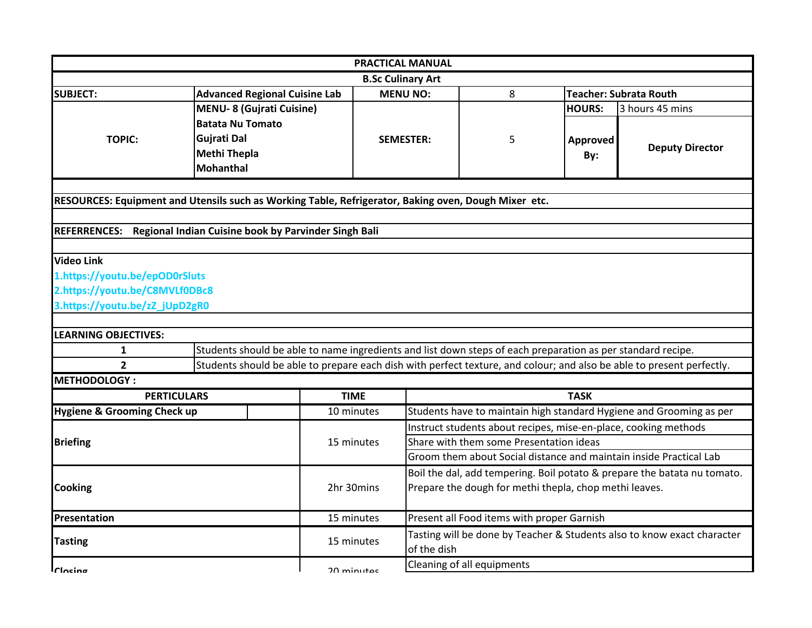|                                                                                                      |                         |                                                                                                             |             | <b>PRACTICAL MANUAL</b>                                                                |                                            |                                                                          |                                                                                                                       |  |  |
|------------------------------------------------------------------------------------------------------|-------------------------|-------------------------------------------------------------------------------------------------------------|-------------|----------------------------------------------------------------------------------------|--------------------------------------------|--------------------------------------------------------------------------|-----------------------------------------------------------------------------------------------------------------------|--|--|
|                                                                                                      |                         |                                                                                                             |             | <b>B.Sc Culinary Art</b>                                                               |                                            |                                                                          |                                                                                                                       |  |  |
| <b>SUBJECT:</b>                                                                                      |                         | <b>Advanced Regional Cuisine Lab</b>                                                                        |             | <b>MENU NO:</b>                                                                        | 8                                          |                                                                          | <b>Teacher: Subrata Routh</b>                                                                                         |  |  |
|                                                                                                      |                         | <b>MENU-8 (Gujrati Cuisine)</b>                                                                             |             |                                                                                        |                                            | <b>HOURS:</b>                                                            | 3 hours 45 mins                                                                                                       |  |  |
|                                                                                                      | <b>Batata Nu Tomato</b> |                                                                                                             |             |                                                                                        |                                            |                                                                          |                                                                                                                       |  |  |
| <b>TOPIC:</b>                                                                                        | Gujrati Dal             |                                                                                                             |             | <b>SEMESTER:</b>                                                                       | 5                                          | Approved                                                                 |                                                                                                                       |  |  |
|                                                                                                      | <b>Methi Thepla</b>     |                                                                                                             |             |                                                                                        |                                            | By:                                                                      | <b>Deputy Director</b>                                                                                                |  |  |
|                                                                                                      | <b>Mohanthal</b>        |                                                                                                             |             |                                                                                        |                                            |                                                                          |                                                                                                                       |  |  |
|                                                                                                      |                         |                                                                                                             |             |                                                                                        |                                            |                                                                          |                                                                                                                       |  |  |
| RESOURCES: Equipment and Utensils such as Working Table, Refrigerator, Baking oven, Dough Mixer etc. |                         |                                                                                                             |             |                                                                                        |                                            |                                                                          |                                                                                                                       |  |  |
|                                                                                                      |                         |                                                                                                             |             |                                                                                        |                                            |                                                                          |                                                                                                                       |  |  |
| REFERRENCES: Regional Indian Cuisine book by Parvinder Singh Bali                                    |                         |                                                                                                             |             |                                                                                        |                                            |                                                                          |                                                                                                                       |  |  |
|                                                                                                      |                         |                                                                                                             |             |                                                                                        |                                            |                                                                          |                                                                                                                       |  |  |
| <b>Video Link</b>                                                                                    |                         |                                                                                                             |             |                                                                                        |                                            |                                                                          |                                                                                                                       |  |  |
| 1.https://youtu.be/epOD0rSluts                                                                       |                         |                                                                                                             |             |                                                                                        |                                            |                                                                          |                                                                                                                       |  |  |
| 2.https://youtu.be/C8MVLf0DBc8                                                                       |                         |                                                                                                             |             |                                                                                        |                                            |                                                                          |                                                                                                                       |  |  |
| 3.https://youtu.be/zZ_jUpD2gR0                                                                       |                         |                                                                                                             |             |                                                                                        |                                            |                                                                          |                                                                                                                       |  |  |
|                                                                                                      |                         |                                                                                                             |             |                                                                                        |                                            |                                                                          |                                                                                                                       |  |  |
| <b>LEARNING OBJECTIVES:</b>                                                                          |                         |                                                                                                             |             |                                                                                        |                                            |                                                                          |                                                                                                                       |  |  |
| 1                                                                                                    |                         | Students should be able to name ingredients and list down steps of each preparation as per standard recipe. |             |                                                                                        |                                            |                                                                          |                                                                                                                       |  |  |
| $\overline{2}$                                                                                       |                         |                                                                                                             |             |                                                                                        |                                            |                                                                          | Students should be able to prepare each dish with perfect texture, and colour; and also be able to present perfectly. |  |  |
| <b>METHODOLOGY:</b>                                                                                  |                         |                                                                                                             |             |                                                                                        |                                            |                                                                          |                                                                                                                       |  |  |
| <b>PERTICULARS</b>                                                                                   |                         |                                                                                                             | <b>TIME</b> |                                                                                        |                                            | <b>TASK</b>                                                              |                                                                                                                       |  |  |
| <b>Hygiene &amp; Grooming Check up</b>                                                               |                         |                                                                                                             | 10 minutes  | Students have to maintain high standard Hygiene and Grooming as per                    |                                            |                                                                          |                                                                                                                       |  |  |
|                                                                                                      |                         |                                                                                                             |             | Instruct students about recipes, mise-en-place, cooking methods                        |                                            |                                                                          |                                                                                                                       |  |  |
| <b>Briefing</b>                                                                                      |                         |                                                                                                             | 15 minutes  | Share with them some Presentation ideas                                                |                                            |                                                                          |                                                                                                                       |  |  |
|                                                                                                      |                         |                                                                                                             |             | Groom them about Social distance and maintain inside Practical Lab                     |                                            |                                                                          |                                                                                                                       |  |  |
|                                                                                                      |                         |                                                                                                             |             |                                                                                        |                                            | Boil the dal, add tempering. Boil potato & prepare the batata nu tomato. |                                                                                                                       |  |  |
| <b>Cooking</b>                                                                                       |                         |                                                                                                             | 2hr 30mins  | Prepare the dough for methi thepla, chop methi leaves.                                 |                                            |                                                                          |                                                                                                                       |  |  |
|                                                                                                      |                         |                                                                                                             |             |                                                                                        |                                            |                                                                          |                                                                                                                       |  |  |
| <b>Presentation</b>                                                                                  |                         |                                                                                                             | 15 minutes  |                                                                                        | Present all Food items with proper Garnish |                                                                          |                                                                                                                       |  |  |
| <b>Tasting</b>                                                                                       |                         |                                                                                                             | 15 minutes  | Tasting will be done by Teacher & Students also to know exact character<br>of the dish |                                            |                                                                          |                                                                                                                       |  |  |
| $r$ locina                                                                                           |                         | $20$ minutar                                                                                                |             | Cleaning of all equipments                                                             |                                            |                                                                          |                                                                                                                       |  |  |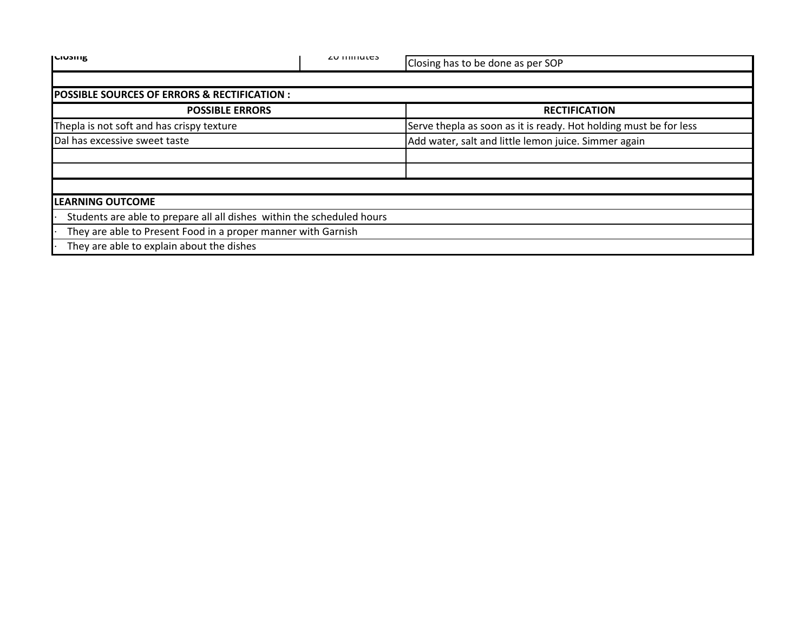| <b>ILIUSIIIK</b>                                                       | <b>ZU IIIIIIULES</b> | Closing has to be done as per SOP                                 |
|------------------------------------------------------------------------|----------------------|-------------------------------------------------------------------|
|                                                                        |                      |                                                                   |
| <b>POSSIBLE SOURCES OF ERRORS &amp; RECTIFICATION:</b>                 |                      |                                                                   |
| <b>POSSIBLE ERRORS</b>                                                 |                      | <b>RECTIFICATION</b>                                              |
| Thepla is not soft and has crispy texture                              |                      | Serve thepla as soon as it is ready. Hot holding must be for less |
| Dal has excessive sweet taste                                          |                      | Add water, salt and little lemon juice. Simmer again              |
|                                                                        |                      |                                                                   |
|                                                                        |                      |                                                                   |
|                                                                        |                      |                                                                   |
| <b>LEARNING OUTCOME</b>                                                |                      |                                                                   |
| Students are able to prepare all all dishes within the scheduled hours |                      |                                                                   |
| They are able to Present Food in a proper manner with Garnish          |                      |                                                                   |
| They are able to explain about the dishes                              |                      |                                                                   |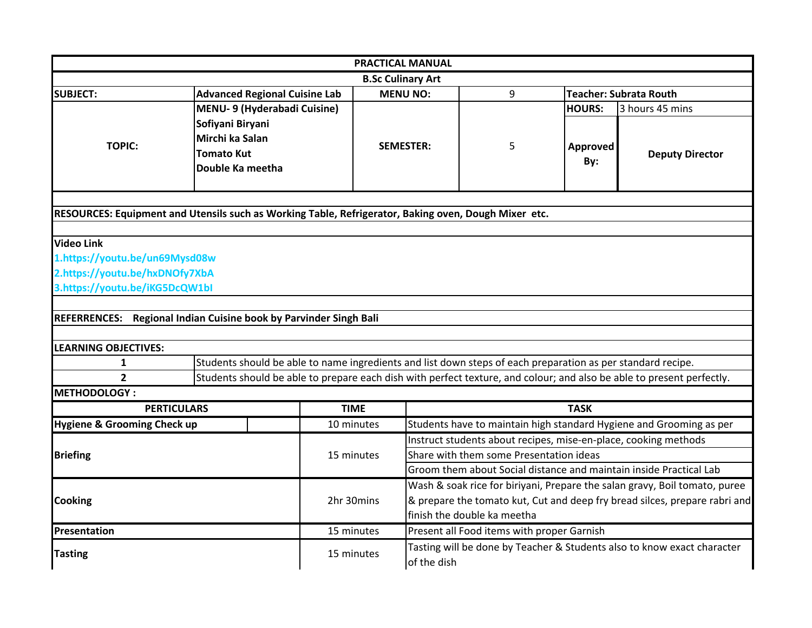|                                                                                                      |                                                                              |             |                                                                            | <b>PRACTICAL MANUAL</b>                                                                                    |                                                                                                             |                               |                                                                                                                       |  |  |
|------------------------------------------------------------------------------------------------------|------------------------------------------------------------------------------|-------------|----------------------------------------------------------------------------|------------------------------------------------------------------------------------------------------------|-------------------------------------------------------------------------------------------------------------|-------------------------------|-----------------------------------------------------------------------------------------------------------------------|--|--|
|                                                                                                      |                                                                              |             | <b>B.Sc Culinary Art</b>                                                   |                                                                                                            |                                                                                                             |                               |                                                                                                                       |  |  |
| <b>SUBJECT:</b>                                                                                      | <b>Advanced Regional Cuisine Lab</b>                                         |             |                                                                            | <b>MENU NO:</b>                                                                                            | 9                                                                                                           | <b>Teacher: Subrata Routh</b> |                                                                                                                       |  |  |
|                                                                                                      | MENU- 9 (Hyderabadi Cuisine)                                                 |             |                                                                            |                                                                                                            |                                                                                                             | <b>HOURS:</b>                 | 3 hours 45 mins                                                                                                       |  |  |
| <b>TOPIC:</b>                                                                                        | Sofiyani Biryani<br>Mirchi ka Salan<br><b>Tomato Kut</b><br>Double Ka meetha |             |                                                                            | <b>SEMESTER:</b>                                                                                           | 5                                                                                                           | <b>Approved</b><br>By:        | <b>Deputy Director</b>                                                                                                |  |  |
| RESOURCES: Equipment and Utensils such as Working Table, Refrigerator, Baking oven, Dough Mixer etc. |                                                                              |             |                                                                            |                                                                                                            |                                                                                                             |                               |                                                                                                                       |  |  |
|                                                                                                      |                                                                              |             |                                                                            |                                                                                                            |                                                                                                             |                               |                                                                                                                       |  |  |
| <b>Video Link</b>                                                                                    |                                                                              |             |                                                                            |                                                                                                            |                                                                                                             |                               |                                                                                                                       |  |  |
| 1.https://youtu.be/un69Mysd08w                                                                       |                                                                              |             |                                                                            |                                                                                                            |                                                                                                             |                               |                                                                                                                       |  |  |
| 2.https://youtu.be/hxDNOfy7XbA                                                                       |                                                                              |             |                                                                            |                                                                                                            |                                                                                                             |                               |                                                                                                                       |  |  |
| 3.https://youtu.be/iKG5DcQW1bl                                                                       |                                                                              |             |                                                                            |                                                                                                            |                                                                                                             |                               |                                                                                                                       |  |  |
|                                                                                                      |                                                                              |             |                                                                            |                                                                                                            |                                                                                                             |                               |                                                                                                                       |  |  |
| REFERRENCES: Regional Indian Cuisine book by Parvinder Singh Bali                                    |                                                                              |             |                                                                            |                                                                                                            |                                                                                                             |                               |                                                                                                                       |  |  |
|                                                                                                      |                                                                              |             |                                                                            |                                                                                                            |                                                                                                             |                               |                                                                                                                       |  |  |
| <b>LEARNING OBJECTIVES:</b>                                                                          |                                                                              |             |                                                                            |                                                                                                            |                                                                                                             |                               |                                                                                                                       |  |  |
| 1                                                                                                    |                                                                              |             |                                                                            |                                                                                                            | Students should be able to name ingredients and list down steps of each preparation as per standard recipe. |                               |                                                                                                                       |  |  |
| $\overline{2}$<br><b>METHODOLOGY:</b>                                                                |                                                                              |             |                                                                            |                                                                                                            |                                                                                                             |                               | Students should be able to prepare each dish with perfect texture, and colour; and also be able to present perfectly. |  |  |
| <b>PERTICULARS</b>                                                                                   |                                                                              | <b>TIME</b> |                                                                            |                                                                                                            |                                                                                                             | <b>TASK</b>                   |                                                                                                                       |  |  |
| Hygiene & Grooming Check up                                                                          |                                                                              |             | 10 minutes                                                                 |                                                                                                            |                                                                                                             |                               | Students have to maintain high standard Hygiene and Grooming as per                                                   |  |  |
|                                                                                                      |                                                                              |             |                                                                            |                                                                                                            |                                                                                                             |                               |                                                                                                                       |  |  |
| <b>Briefing</b>                                                                                      |                                                                              |             | 15 minutes                                                                 | Instruct students about recipes, mise-en-place, cooking methods<br>Share with them some Presentation ideas |                                                                                                             |                               |                                                                                                                       |  |  |
|                                                                                                      |                                                                              |             |                                                                            | Groom them about Social distance and maintain inside Practical Lab                                         |                                                                                                             |                               |                                                                                                                       |  |  |
|                                                                                                      |                                                                              |             | Wash & soak rice for biriyani, Prepare the salan gravy, Boil tomato, puree |                                                                                                            |                                                                                                             |                               |                                                                                                                       |  |  |
| <b>Cooking</b>                                                                                       |                                                                              |             | 2hr 30mins                                                                 | & prepare the tomato kut, Cut and deep fry bread silces, prepare rabri and                                 |                                                                                                             |                               |                                                                                                                       |  |  |
|                                                                                                      |                                                                              |             |                                                                            | finish the double ka meetha                                                                                |                                                                                                             |                               |                                                                                                                       |  |  |
| Presentation                                                                                         | 15 minutes                                                                   |             | Present all Food items with proper Garnish                                 |                                                                                                            |                                                                                                             |                               |                                                                                                                       |  |  |
| <b>Tasting</b>                                                                                       |                                                                              |             | 15 minutes                                                                 | Tasting will be done by Teacher & Students also to know exact character<br>of the dish                     |                                                                                                             |                               |                                                                                                                       |  |  |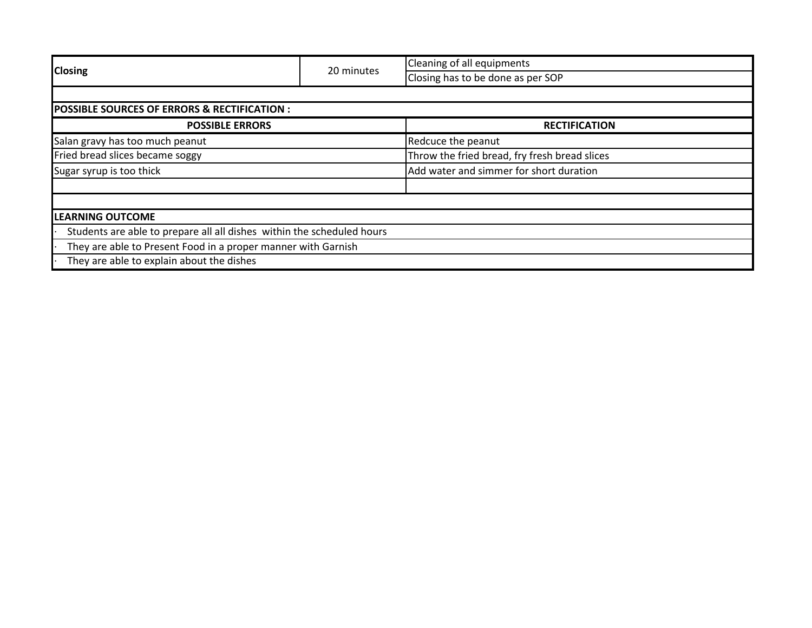|                                                               |                                                                        | <b>Cleaning of all equipments</b>             |  |  |  |
|---------------------------------------------------------------|------------------------------------------------------------------------|-----------------------------------------------|--|--|--|
| <b>Closing</b>                                                | 20 minutes                                                             | Closing has to be done as per SOP             |  |  |  |
|                                                               |                                                                        |                                               |  |  |  |
| <b>POSSIBLE SOURCES OF ERRORS &amp; RECTIFICATION :</b>       |                                                                        |                                               |  |  |  |
| <b>POSSIBLE ERRORS</b>                                        |                                                                        | <b>RECTIFICATION</b>                          |  |  |  |
| Salan gravy has too much peanut                               |                                                                        | Redcuce the peanut                            |  |  |  |
| Fried bread slices became soggy                               |                                                                        | Throw the fried bread, fry fresh bread slices |  |  |  |
| Sugar syrup is too thick                                      |                                                                        | Add water and simmer for short duration       |  |  |  |
|                                                               |                                                                        |                                               |  |  |  |
|                                                               |                                                                        |                                               |  |  |  |
| <b>LEARNING OUTCOME</b>                                       |                                                                        |                                               |  |  |  |
|                                                               | Students are able to prepare all all dishes within the scheduled hours |                                               |  |  |  |
| They are able to Present Food in a proper manner with Garnish |                                                                        |                                               |  |  |  |
| They are able to explain about the dishes                     |                                                                        |                                               |  |  |  |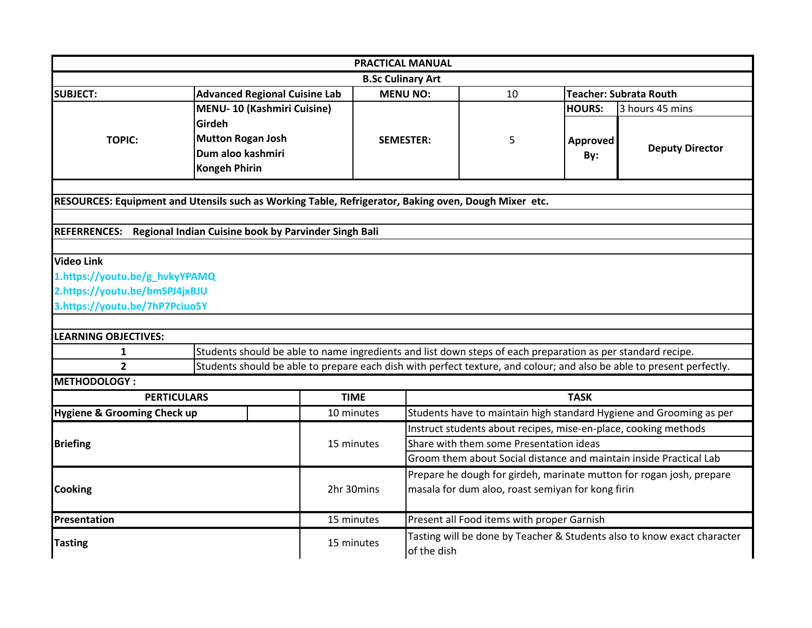| <b>PRACTICAL MANUAL</b>                |                                                                                                                       |                                                                                                |                                                                                        |                                                                    |               |                                                                     |  |  |
|----------------------------------------|-----------------------------------------------------------------------------------------------------------------------|------------------------------------------------------------------------------------------------|----------------------------------------------------------------------------------------|--------------------------------------------------------------------|---------------|---------------------------------------------------------------------|--|--|
| <b>B.Sc Culinary Art</b>               |                                                                                                                       |                                                                                                |                                                                                        |                                                                    |               |                                                                     |  |  |
| <b>SUBJECT:</b>                        |                                                                                                                       | <b>Advanced Regional Cuisine Lab</b><br><b>MENU NO:</b><br><b>Teacher: Subrata Routh</b><br>10 |                                                                                        |                                                                    |               |                                                                     |  |  |
|                                        | <b>MENU-10 (Kashmiri Cuisine)</b>                                                                                     |                                                                                                |                                                                                        |                                                                    | <b>HOURS:</b> | 3 hours 45 mins                                                     |  |  |
|                                        | Girdeh                                                                                                                |                                                                                                |                                                                                        |                                                                    |               |                                                                     |  |  |
| <b>TOPIC:</b>                          | <b>Mutton Rogan Josh</b>                                                                                              |                                                                                                | <b>SEMESTER:</b>                                                                       | 5                                                                  | Approved      |                                                                     |  |  |
|                                        | Dum aloo kashmiri                                                                                                     |                                                                                                |                                                                                        |                                                                    | By:           | <b>Deputy Director</b>                                              |  |  |
|                                        | <b>Kongeh Phirin</b>                                                                                                  |                                                                                                |                                                                                        |                                                                    |               |                                                                     |  |  |
|                                        |                                                                                                                       |                                                                                                |                                                                                        |                                                                    |               |                                                                     |  |  |
|                                        | RESOURCES: Equipment and Utensils such as Working Table, Refrigerator, Baking oven, Dough Mixer etc.                  |                                                                                                |                                                                                        |                                                                    |               |                                                                     |  |  |
|                                        |                                                                                                                       |                                                                                                |                                                                                        |                                                                    |               |                                                                     |  |  |
|                                        | REFERRENCES: Regional Indian Cuisine book by Parvinder Singh Bali                                                     |                                                                                                |                                                                                        |                                                                    |               |                                                                     |  |  |
| <b>Video Link</b>                      |                                                                                                                       |                                                                                                |                                                                                        |                                                                    |               |                                                                     |  |  |
| 1.https://youtu.be/g_hvkyYPAMQ         |                                                                                                                       |                                                                                                |                                                                                        |                                                                    |               |                                                                     |  |  |
| 2.https://youtu.be/bmSPJ4jxBJU         |                                                                                                                       |                                                                                                |                                                                                        |                                                                    |               |                                                                     |  |  |
| 3.https://youtu.be/7hP7Pciuo5Y         |                                                                                                                       |                                                                                                |                                                                                        |                                                                    |               |                                                                     |  |  |
|                                        |                                                                                                                       |                                                                                                |                                                                                        |                                                                    |               |                                                                     |  |  |
| <b>LEARNING OBJECTIVES:</b>            |                                                                                                                       |                                                                                                |                                                                                        |                                                                    |               |                                                                     |  |  |
| $\mathbf{1}$                           | Students should be able to name ingredients and list down steps of each preparation as per standard recipe.           |                                                                                                |                                                                                        |                                                                    |               |                                                                     |  |  |
| $\overline{2}$                         | Students should be able to prepare each dish with perfect texture, and colour; and also be able to present perfectly. |                                                                                                |                                                                                        |                                                                    |               |                                                                     |  |  |
| <b>METHODOLOGY:</b>                    |                                                                                                                       |                                                                                                |                                                                                        |                                                                    |               |                                                                     |  |  |
| <b>PERTICULARS</b>                     |                                                                                                                       | <b>TIME</b>                                                                                    |                                                                                        |                                                                    | <b>TASK</b>   |                                                                     |  |  |
| <b>Hygiene &amp; Grooming Check up</b> |                                                                                                                       | 10 minutes                                                                                     |                                                                                        |                                                                    |               | Students have to maintain high standard Hygiene and Grooming as per |  |  |
|                                        |                                                                                                                       |                                                                                                | Instruct students about recipes, mise-en-place, cooking methods                        |                                                                    |               |                                                                     |  |  |
| <b>Briefing</b>                        |                                                                                                                       | 15 minutes                                                                                     |                                                                                        | Share with them some Presentation ideas                            |               |                                                                     |  |  |
|                                        |                                                                                                                       |                                                                                                |                                                                                        | Groom them about Social distance and maintain inside Practical Lab |               |                                                                     |  |  |
|                                        |                                                                                                                       |                                                                                                | Prepare he dough for girdeh, marinate mutton for rogan josh, prepare                   |                                                                    |               |                                                                     |  |  |
| <b>Cooking</b>                         |                                                                                                                       | 2hr 30mins                                                                                     | masala for dum aloo, roast semiyan for kong firin                                      |                                                                    |               |                                                                     |  |  |
|                                        |                                                                                                                       |                                                                                                |                                                                                        |                                                                    |               |                                                                     |  |  |
| Presentation                           |                                                                                                                       | 15 minutes                                                                                     | Present all Food items with proper Garnish                                             |                                                                    |               |                                                                     |  |  |
| <b>Tasting</b>                         |                                                                                                                       | 15 minutes                                                                                     | Tasting will be done by Teacher & Students also to know exact character<br>of the dish |                                                                    |               |                                                                     |  |  |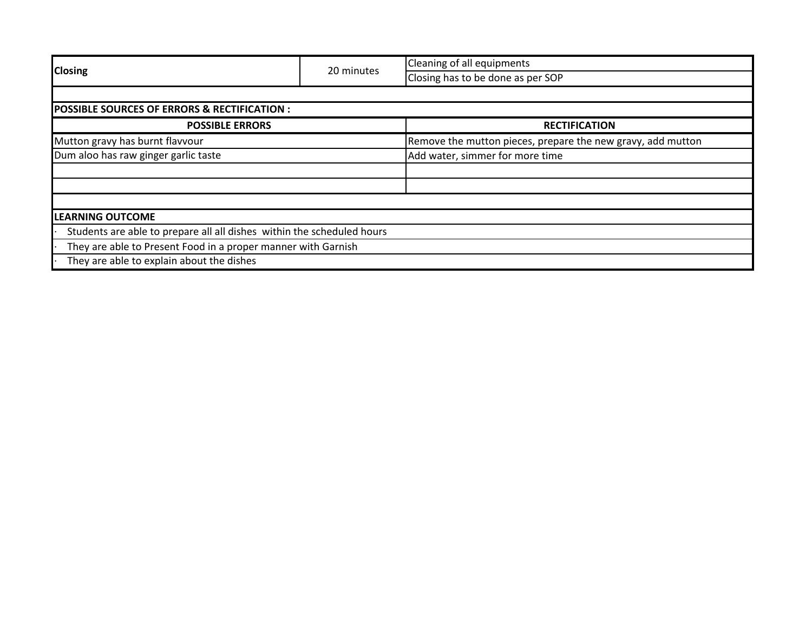|                                                               |                                                                        | Cleaning of all equipments                                  |  |  |  |
|---------------------------------------------------------------|------------------------------------------------------------------------|-------------------------------------------------------------|--|--|--|
| <b>Closing</b>                                                | 20 minutes                                                             | Closing has to be done as per SOP                           |  |  |  |
|                                                               |                                                                        |                                                             |  |  |  |
| <b>POSSIBLE SOURCES OF ERRORS &amp; RECTIFICATION:</b>        |                                                                        |                                                             |  |  |  |
| <b>POSSIBLE ERRORS</b>                                        |                                                                        | <b>RECTIFICATION</b>                                        |  |  |  |
| Mutton gravy has burnt flavvour                               |                                                                        | Remove the mutton pieces, prepare the new gravy, add mutton |  |  |  |
| Dum aloo has raw ginger garlic taste                          |                                                                        | Add water, simmer for more time                             |  |  |  |
|                                                               |                                                                        |                                                             |  |  |  |
|                                                               |                                                                        |                                                             |  |  |  |
|                                                               |                                                                        |                                                             |  |  |  |
| <b>LEARNING OUTCOME</b>                                       |                                                                        |                                                             |  |  |  |
|                                                               | Students are able to prepare all all dishes within the scheduled hours |                                                             |  |  |  |
| They are able to Present Food in a proper manner with Garnish |                                                                        |                                                             |  |  |  |
| They are able to explain about the dishes                     |                                                                        |                                                             |  |  |  |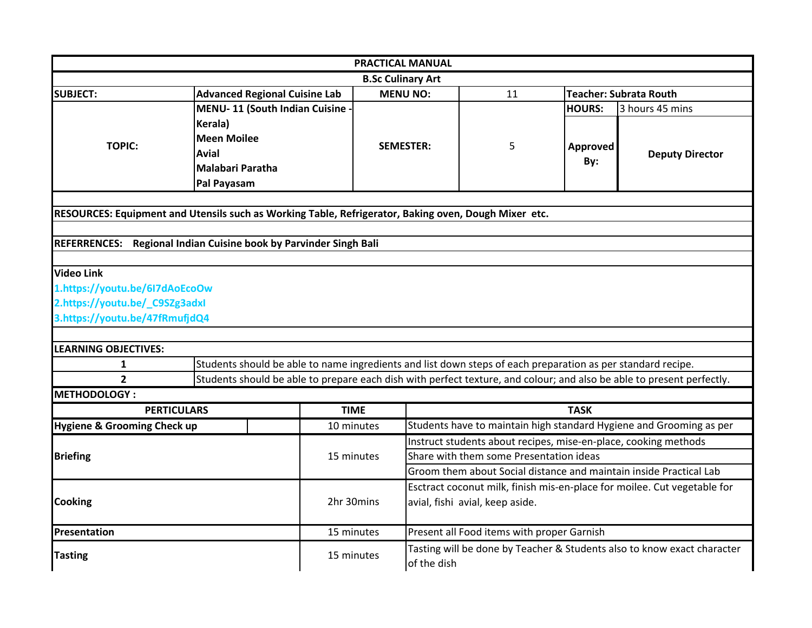|                                |                                                                                                                       |             | <b>PRACTICAL MANUAL</b>                                            |                                                                                                             |                 |                                                                     |  |
|--------------------------------|-----------------------------------------------------------------------------------------------------------------------|-------------|--------------------------------------------------------------------|-------------------------------------------------------------------------------------------------------------|-----------------|---------------------------------------------------------------------|--|
|                                |                                                                                                                       |             | <b>B.Sc Culinary Art</b>                                           |                                                                                                             |                 |                                                                     |  |
| <b>SUBJECT:</b>                | <b>Advanced Regional Cuisine Lab</b>                                                                                  |             | <b>MENU NO:</b>                                                    | 11                                                                                                          |                 | <b>Teacher: Subrata Routh</b>                                       |  |
|                                | <b>MENU-11 (South Indian Cuisine</b>                                                                                  |             |                                                                    |                                                                                                             | <b>HOURS:</b>   | 3 hours 45 mins                                                     |  |
| <b>TOPIC:</b>                  | Kerala)<br><b>Meen Moilee</b><br><b>Avial</b><br>Malabari Paratha<br>Pal Payasam                                      |             | <b>SEMESTER:</b>                                                   | 5                                                                                                           | Approved<br>By: | <b>Deputy Director</b>                                              |  |
|                                |                                                                                                                       |             |                                                                    |                                                                                                             |                 |                                                                     |  |
|                                | RESOURCES: Equipment and Utensils such as Working Table, Refrigerator, Baking oven, Dough Mixer etc.                  |             |                                                                    |                                                                                                             |                 |                                                                     |  |
|                                | REFERRENCES: Regional Indian Cuisine book by Parvinder Singh Bali                                                     |             |                                                                    |                                                                                                             |                 |                                                                     |  |
|                                |                                                                                                                       |             |                                                                    |                                                                                                             |                 |                                                                     |  |
| <b>Video Link</b>              |                                                                                                                       |             |                                                                    |                                                                                                             |                 |                                                                     |  |
| 1.https://youtu.be/617dAoEcoOw |                                                                                                                       |             |                                                                    |                                                                                                             |                 |                                                                     |  |
| 2.https://youtu.be/_C9SZg3adxI |                                                                                                                       |             |                                                                    |                                                                                                             |                 |                                                                     |  |
| 3.https://youtu.be/47fRmufjdQ4 |                                                                                                                       |             |                                                                    |                                                                                                             |                 |                                                                     |  |
|                                |                                                                                                                       |             |                                                                    |                                                                                                             |                 |                                                                     |  |
| <b>LEARNING OBJECTIVES:</b>    |                                                                                                                       |             |                                                                    |                                                                                                             |                 |                                                                     |  |
| $\mathbf{1}$                   | Students should be able to name ingredients and list down steps of each preparation as per standard recipe.           |             |                                                                    |                                                                                                             |                 |                                                                     |  |
| $\overline{2}$                 | Students should be able to prepare each dish with perfect texture, and colour; and also be able to present perfectly. |             |                                                                    |                                                                                                             |                 |                                                                     |  |
| <b>METHODOLOGY:</b>            |                                                                                                                       |             |                                                                    |                                                                                                             |                 |                                                                     |  |
| <b>PERTICULARS</b>             |                                                                                                                       | <b>TIME</b> |                                                                    |                                                                                                             | <b>TASK</b>     |                                                                     |  |
| Hygiene & Grooming Check up    |                                                                                                                       | 10 minutes  |                                                                    |                                                                                                             |                 | Students have to maintain high standard Hygiene and Grooming as per |  |
|                                |                                                                                                                       |             | Instruct students about recipes, mise-en-place, cooking methods    |                                                                                                             |                 |                                                                     |  |
| <b>Briefing</b>                |                                                                                                                       | 15 minutes  | Share with them some Presentation ideas                            |                                                                                                             |                 |                                                                     |  |
|                                |                                                                                                                       |             | Groom them about Social distance and maintain inside Practical Lab |                                                                                                             |                 |                                                                     |  |
| <b>Cooking</b>                 |                                                                                                                       | 2hr 30mins  |                                                                    | Esctract coconut milk, finish mis-en-place for moilee. Cut vegetable for<br>avial, fishi avial, keep aside. |                 |                                                                     |  |
| Presentation                   |                                                                                                                       | 15 minutes  |                                                                    | Present all Food items with proper Garnish                                                                  |                 |                                                                     |  |
| <b>Tasting</b>                 |                                                                                                                       | 15 minutes  | of the dish                                                        | Tasting will be done by Teacher & Students also to know exact character                                     |                 |                                                                     |  |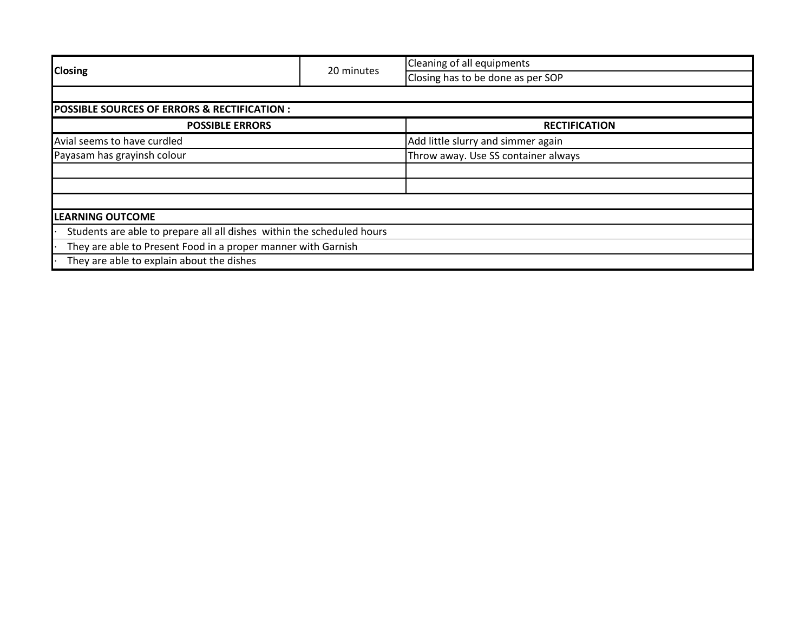| <b>Closing</b>                                                         | 20 minutes | Cleaning of all equipments          |  |  |  |
|------------------------------------------------------------------------|------------|-------------------------------------|--|--|--|
|                                                                        |            | Closing has to be done as per SOP   |  |  |  |
|                                                                        |            |                                     |  |  |  |
| <b>POSSIBLE SOURCES OF ERRORS &amp; RECTIFICATION :</b>                |            |                                     |  |  |  |
| <b>POSSIBLE ERRORS</b>                                                 |            | <b>RECTIFICATION</b>                |  |  |  |
| Avial seems to have curdled                                            |            | Add little slurry and simmer again  |  |  |  |
| Payasam has grayinsh colour                                            |            | Throw away. Use SS container always |  |  |  |
|                                                                        |            |                                     |  |  |  |
|                                                                        |            |                                     |  |  |  |
|                                                                        |            |                                     |  |  |  |
| <b>LEARNING OUTCOME</b>                                                |            |                                     |  |  |  |
| Students are able to prepare all all dishes within the scheduled hours |            |                                     |  |  |  |
| They are able to Present Food in a proper manner with Garnish          |            |                                     |  |  |  |
| They are able to explain about the dishes                              |            |                                     |  |  |  |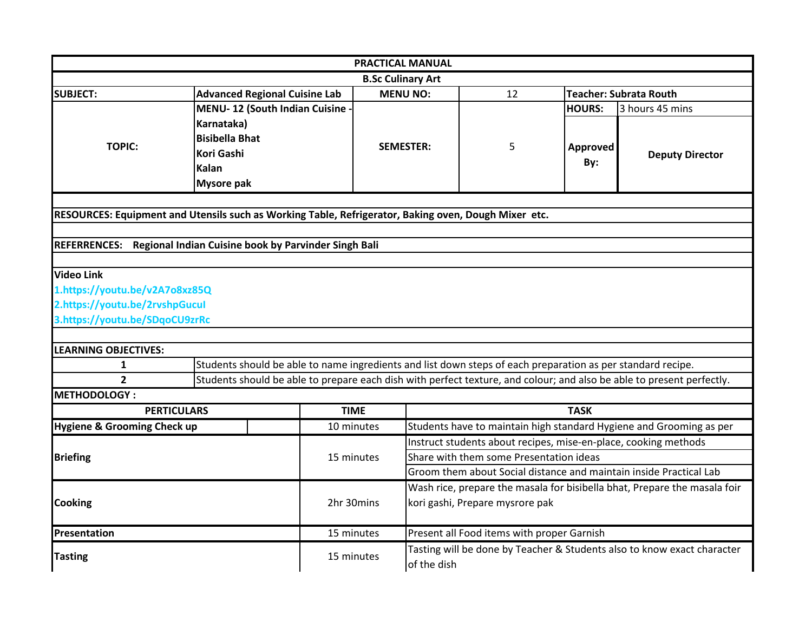|                                                                                                      |                                                                                                             | <b>PRACTICAL MANUAL</b>  |                                                                                        |    |                 |                                                                                                                       |
|------------------------------------------------------------------------------------------------------|-------------------------------------------------------------------------------------------------------------|--------------------------|----------------------------------------------------------------------------------------|----|-----------------|-----------------------------------------------------------------------------------------------------------------------|
|                                                                                                      |                                                                                                             | <b>B.Sc Culinary Art</b> |                                                                                        |    |                 |                                                                                                                       |
| <b>SUBJECT:</b>                                                                                      | <b>Advanced Regional Cuisine Lab</b>                                                                        | <b>MENU NO:</b>          |                                                                                        | 12 |                 | <b>Teacher: Subrata Routh</b>                                                                                         |
|                                                                                                      | MENU-12 (South Indian Cuisine                                                                               |                          |                                                                                        |    | <b>HOURS:</b>   | 3 hours 45 mins                                                                                                       |
| <b>TOPIC:</b>                                                                                        | Karnataka)<br><b>Bisibella Bhat</b><br>Kori Gashi<br>Kalan<br><b>Mysore pak</b>                             | <b>SEMESTER:</b>         |                                                                                        | 5  | Approved<br>By: | <b>Deputy Director</b>                                                                                                |
|                                                                                                      |                                                                                                             |                          |                                                                                        |    |                 |                                                                                                                       |
| RESOURCES: Equipment and Utensils such as Working Table, Refrigerator, Baking oven, Dough Mixer etc. |                                                                                                             |                          |                                                                                        |    |                 |                                                                                                                       |
| REFERRENCES: Regional Indian Cuisine book by Parvinder Singh Bali                                    |                                                                                                             |                          |                                                                                        |    |                 |                                                                                                                       |
|                                                                                                      |                                                                                                             |                          |                                                                                        |    |                 |                                                                                                                       |
| <b>Video Link</b>                                                                                    |                                                                                                             |                          |                                                                                        |    |                 |                                                                                                                       |
| 1.https://youtu.be/v2A7o8xz85Q                                                                       |                                                                                                             |                          |                                                                                        |    |                 |                                                                                                                       |
| 2.https://youtu.be/2rvshpGucul                                                                       |                                                                                                             |                          |                                                                                        |    |                 |                                                                                                                       |
| 3.https://youtu.be/SDqoCU9zrRc                                                                       |                                                                                                             |                          |                                                                                        |    |                 |                                                                                                                       |
|                                                                                                      |                                                                                                             |                          |                                                                                        |    |                 |                                                                                                                       |
| <b>LEARNING OBJECTIVES:</b>                                                                          |                                                                                                             |                          |                                                                                        |    |                 |                                                                                                                       |
| $\mathbf{1}$<br>$\overline{2}$                                                                       | Students should be able to name ingredients and list down steps of each preparation as per standard recipe. |                          |                                                                                        |    |                 |                                                                                                                       |
| <b>METHODOLOGY:</b>                                                                                  |                                                                                                             |                          |                                                                                        |    |                 | Students should be able to prepare each dish with perfect texture, and colour; and also be able to present perfectly. |
| <b>PERTICULARS</b>                                                                                   |                                                                                                             | <b>TIME</b>              |                                                                                        |    | <b>TASK</b>     |                                                                                                                       |
| Hygiene & Grooming Check up                                                                          |                                                                                                             | 10 minutes               | Students have to maintain high standard Hygiene and Grooming as per                    |    |                 |                                                                                                                       |
|                                                                                                      |                                                                                                             |                          | Instruct students about recipes, mise-en-place, cooking methods                        |    |                 |                                                                                                                       |
| <b>Briefing</b>                                                                                      |                                                                                                             | 15 minutes               | Share with them some Presentation ideas                                                |    |                 |                                                                                                                       |
|                                                                                                      |                                                                                                             |                          | Groom them about Social distance and maintain inside Practical Lab                     |    |                 |                                                                                                                       |
| <b>Cooking</b>                                                                                       |                                                                                                             |                          | Wash rice, prepare the masala for bisibella bhat, Prepare the masala foir              |    |                 |                                                                                                                       |
|                                                                                                      |                                                                                                             | 2hr 30mins               | kori gashi, Prepare mysrore pak                                                        |    |                 |                                                                                                                       |
| Presentation                                                                                         |                                                                                                             | 15 minutes               | Present all Food items with proper Garnish                                             |    |                 |                                                                                                                       |
| <b>Tasting</b>                                                                                       |                                                                                                             | 15 minutes               | Tasting will be done by Teacher & Students also to know exact character<br>of the dish |    |                 |                                                                                                                       |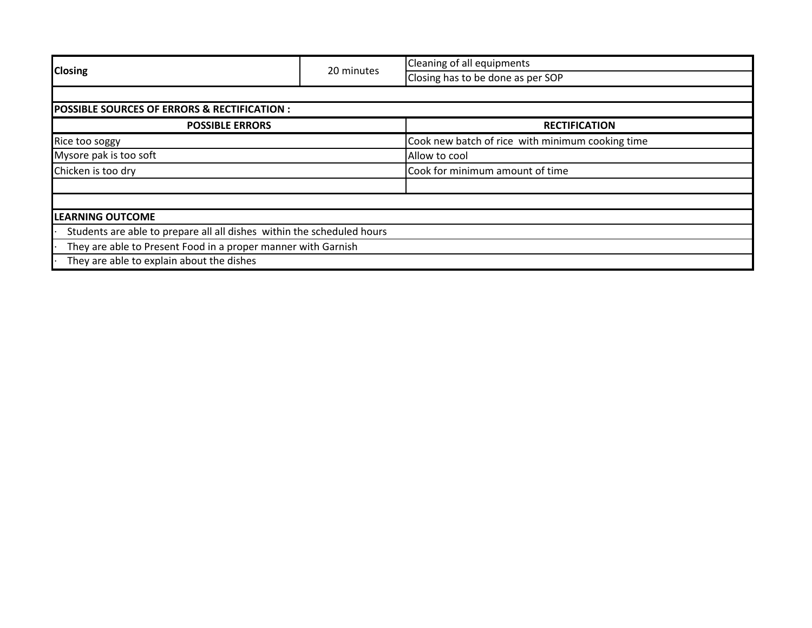|                                                                        | 20 minutes | Cleaning of all equipments                       |  |  |  |
|------------------------------------------------------------------------|------------|--------------------------------------------------|--|--|--|
| <b>Closing</b>                                                         |            | Closing has to be done as per SOP                |  |  |  |
|                                                                        |            |                                                  |  |  |  |
| <b>POSSIBLE SOURCES OF ERRORS &amp; RECTIFICATION:</b>                 |            |                                                  |  |  |  |
| <b>POSSIBLE ERRORS</b>                                                 |            | <b>RECTIFICATION</b>                             |  |  |  |
| Rice too soggy                                                         |            | Cook new batch of rice with minimum cooking time |  |  |  |
| Mysore pak is too soft                                                 |            | Allow to cool                                    |  |  |  |
| Chicken is too dry                                                     |            | Cook for minimum amount of time                  |  |  |  |
|                                                                        |            |                                                  |  |  |  |
|                                                                        |            |                                                  |  |  |  |
| <b>LEARNING OUTCOME</b>                                                |            |                                                  |  |  |  |
| Students are able to prepare all all dishes within the scheduled hours |            |                                                  |  |  |  |
| They are able to Present Food in a proper manner with Garnish          |            |                                                  |  |  |  |
| They are able to explain about the dishes                              |            |                                                  |  |  |  |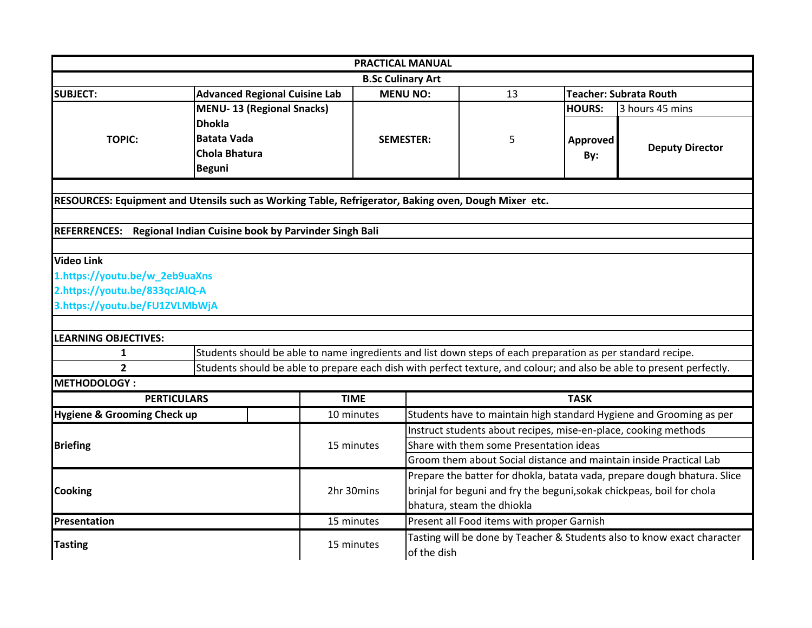|                                                                                                      |                                                                                                                                                                                                                                      |             | <b>PRACTICAL MANUAL</b>                                                                                       |                                            |               |                                                                     |
|------------------------------------------------------------------------------------------------------|--------------------------------------------------------------------------------------------------------------------------------------------------------------------------------------------------------------------------------------|-------------|---------------------------------------------------------------------------------------------------------------|--------------------------------------------|---------------|---------------------------------------------------------------------|
|                                                                                                      |                                                                                                                                                                                                                                      |             | <b>B.Sc Culinary Art</b>                                                                                      |                                            |               |                                                                     |
| <b>SUBJECT:</b>                                                                                      | <b>Advanced Regional Cuisine Lab</b>                                                                                                                                                                                                 |             | <b>MENU NO:</b>                                                                                               | 13                                         |               | <b>Teacher: Subrata Routh</b>                                       |
|                                                                                                      | <b>MENU-13 (Regional Snacks)</b>                                                                                                                                                                                                     |             |                                                                                                               |                                            | <b>HOURS:</b> | 3 hours 45 mins                                                     |
|                                                                                                      | <b>Dhokla</b>                                                                                                                                                                                                                        |             |                                                                                                               |                                            |               |                                                                     |
| <b>TOPIC:</b>                                                                                        | <b>Batata Vada</b>                                                                                                                                                                                                                   |             | <b>SEMESTER:</b>                                                                                              | 5                                          | Approved      |                                                                     |
|                                                                                                      | <b>Chola Bhatura</b>                                                                                                                                                                                                                 |             |                                                                                                               |                                            | By:           | <b>Deputy Director</b>                                              |
|                                                                                                      | <b>Beguni</b>                                                                                                                                                                                                                        |             |                                                                                                               |                                            |               |                                                                     |
|                                                                                                      |                                                                                                                                                                                                                                      |             |                                                                                                               |                                            |               |                                                                     |
| RESOURCES: Equipment and Utensils such as Working Table, Refrigerator, Baking oven, Dough Mixer etc. |                                                                                                                                                                                                                                      |             |                                                                                                               |                                            |               |                                                                     |
|                                                                                                      |                                                                                                                                                                                                                                      |             |                                                                                                               |                                            |               |                                                                     |
| REFERRENCES: Regional Indian Cuisine book by Parvinder Singh Bali                                    |                                                                                                                                                                                                                                      |             |                                                                                                               |                                            |               |                                                                     |
| <b>Video Link</b>                                                                                    |                                                                                                                                                                                                                                      |             |                                                                                                               |                                            |               |                                                                     |
| 1.https://youtu.be/w_2eb9uaXns                                                                       |                                                                                                                                                                                                                                      |             |                                                                                                               |                                            |               |                                                                     |
| 2.https://youtu.be/833qcJAlQ-A                                                                       |                                                                                                                                                                                                                                      |             |                                                                                                               |                                            |               |                                                                     |
| 3.https://youtu.be/FU1ZVLMbWjA                                                                       |                                                                                                                                                                                                                                      |             |                                                                                                               |                                            |               |                                                                     |
|                                                                                                      |                                                                                                                                                                                                                                      |             |                                                                                                               |                                            |               |                                                                     |
|                                                                                                      |                                                                                                                                                                                                                                      |             |                                                                                                               |                                            |               |                                                                     |
| <b>LEARNING OBJECTIVES:</b>                                                                          |                                                                                                                                                                                                                                      |             |                                                                                                               |                                            |               |                                                                     |
| $\mathbf{1}$<br>$\overline{2}$                                                                       | Students should be able to name ingredients and list down steps of each preparation as per standard recipe.<br>Students should be able to prepare each dish with perfect texture, and colour; and also be able to present perfectly. |             |                                                                                                               |                                            |               |                                                                     |
| <b>METHODOLOGY:</b>                                                                                  |                                                                                                                                                                                                                                      |             |                                                                                                               |                                            |               |                                                                     |
| <b>PERTICULARS</b>                                                                                   |                                                                                                                                                                                                                                      | <b>TIME</b> |                                                                                                               |                                            | <b>TASK</b>   |                                                                     |
|                                                                                                      |                                                                                                                                                                                                                                      |             |                                                                                                               |                                            |               |                                                                     |
| Hygiene & Grooming Check up                                                                          |                                                                                                                                                                                                                                      | 10 minutes  |                                                                                                               |                                            |               | Students have to maintain high standard Hygiene and Grooming as per |
|                                                                                                      |                                                                                                                                                                                                                                      |             | Instruct students about recipes, mise-en-place, cooking methods                                               |                                            |               |                                                                     |
| <b>Briefing</b>                                                                                      |                                                                                                                                                                                                                                      | 15 minutes  | Share with them some Presentation ideas<br>Groom them about Social distance and maintain inside Practical Lab |                                            |               |                                                                     |
|                                                                                                      |                                                                                                                                                                                                                                      |             |                                                                                                               |                                            |               |                                                                     |
| <b>Cooking</b>                                                                                       |                                                                                                                                                                                                                                      |             | Prepare the batter for dhokla, batata vada, prepare dough bhatura. Slice                                      |                                            |               |                                                                     |
|                                                                                                      |                                                                                                                                                                                                                                      | 2hr 30mins  | brinjal for beguni and fry the beguni, sokak chickpeas, boil for chola                                        |                                            |               |                                                                     |
|                                                                                                      |                                                                                                                                                                                                                                      |             |                                                                                                               | bhatura, steam the dhiokla                 |               |                                                                     |
| Presentation                                                                                         |                                                                                                                                                                                                                                      | 15 minutes  |                                                                                                               | Present all Food items with proper Garnish |               |                                                                     |
| <b>Tasting</b>                                                                                       |                                                                                                                                                                                                                                      | 15 minutes  | Tasting will be done by Teacher & Students also to know exact character<br>of the dish                        |                                            |               |                                                                     |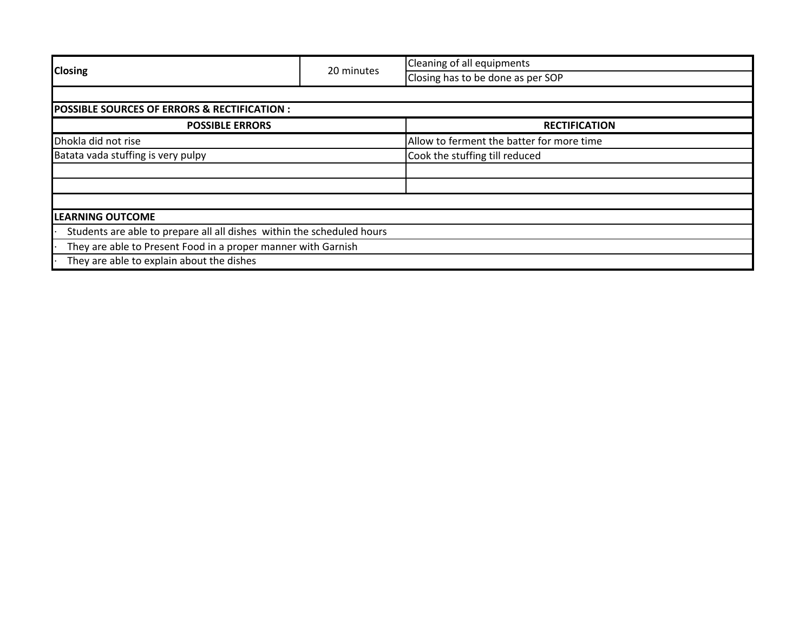|                                                                        | 20 minutes | Cleaning of all equipments                |  |  |  |
|------------------------------------------------------------------------|------------|-------------------------------------------|--|--|--|
| <b>Closing</b>                                                         |            | Closing has to be done as per SOP         |  |  |  |
|                                                                        |            |                                           |  |  |  |
| <b>POSSIBLE SOURCES OF ERRORS &amp; RECTIFICATION :</b>                |            |                                           |  |  |  |
| <b>POSSIBLE ERRORS</b>                                                 |            | <b>RECTIFICATION</b>                      |  |  |  |
| Dhokla did not rise                                                    |            | Allow to ferment the batter for more time |  |  |  |
| Batata vada stuffing is very pulpy                                     |            | Cook the stuffing till reduced            |  |  |  |
|                                                                        |            |                                           |  |  |  |
|                                                                        |            |                                           |  |  |  |
|                                                                        |            |                                           |  |  |  |
| <b>LEARNING OUTCOME</b>                                                |            |                                           |  |  |  |
| Students are able to prepare all all dishes within the scheduled hours |            |                                           |  |  |  |
| They are able to Present Food in a proper manner with Garnish          |            |                                           |  |  |  |
| They are able to explain about the dishes                              |            |                                           |  |  |  |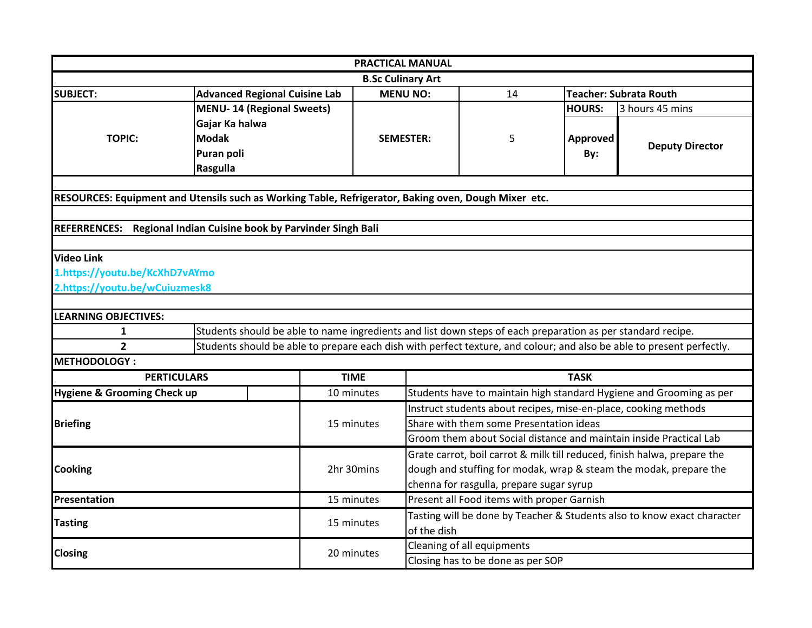|                                                                                                      |                                                                                                             |             | <b>PRACTICAL MANUAL</b>                                                                                    |                                                                                                               |               |                                                                                                                       |  |
|------------------------------------------------------------------------------------------------------|-------------------------------------------------------------------------------------------------------------|-------------|------------------------------------------------------------------------------------------------------------|---------------------------------------------------------------------------------------------------------------|---------------|-----------------------------------------------------------------------------------------------------------------------|--|
|                                                                                                      |                                                                                                             |             | <b>B.Sc Culinary Art</b>                                                                                   |                                                                                                               |               |                                                                                                                       |  |
| <b>SUBJECT:</b>                                                                                      | <b>Advanced Regional Cuisine Lab</b>                                                                        |             | <b>MENU NO:</b>                                                                                            | 14                                                                                                            |               | <b>Teacher: Subrata Routh</b>                                                                                         |  |
|                                                                                                      | <b>MENU-14 (Regional Sweets)</b>                                                                            |             |                                                                                                            |                                                                                                               | <b>HOURS:</b> | 3 hours 45 mins                                                                                                       |  |
|                                                                                                      | Gajar Ka halwa                                                                                              |             |                                                                                                            |                                                                                                               |               |                                                                                                                       |  |
| <b>TOPIC:</b>                                                                                        | <b>Modak</b>                                                                                                |             | <b>SEMESTER:</b>                                                                                           | 5                                                                                                             | Approved      | <b>Deputy Director</b>                                                                                                |  |
|                                                                                                      | Puran poli                                                                                                  |             |                                                                                                            |                                                                                                               | By:           |                                                                                                                       |  |
|                                                                                                      | Rasgulla                                                                                                    |             |                                                                                                            |                                                                                                               |               |                                                                                                                       |  |
|                                                                                                      |                                                                                                             |             |                                                                                                            |                                                                                                               |               |                                                                                                                       |  |
| RESOURCES: Equipment and Utensils such as Working Table, Refrigerator, Baking oven, Dough Mixer etc. |                                                                                                             |             |                                                                                                            |                                                                                                               |               |                                                                                                                       |  |
|                                                                                                      |                                                                                                             |             |                                                                                                            |                                                                                                               |               |                                                                                                                       |  |
| REFERRENCES: Regional Indian Cuisine book by Parvinder Singh Bali                                    |                                                                                                             |             |                                                                                                            |                                                                                                               |               |                                                                                                                       |  |
|                                                                                                      |                                                                                                             |             |                                                                                                            |                                                                                                               |               |                                                                                                                       |  |
| <b>Video Link</b>                                                                                    |                                                                                                             |             |                                                                                                            |                                                                                                               |               |                                                                                                                       |  |
| 1.https://youtu.be/KcXhD7vAYmo                                                                       |                                                                                                             |             |                                                                                                            |                                                                                                               |               |                                                                                                                       |  |
| 2.https://youtu.be/wCuiuzmesk8                                                                       |                                                                                                             |             |                                                                                                            |                                                                                                               |               |                                                                                                                       |  |
| <b>LEARNING OBJECTIVES:</b>                                                                          |                                                                                                             |             |                                                                                                            |                                                                                                               |               |                                                                                                                       |  |
| $\mathbf{1}$                                                                                         | Students should be able to name ingredients and list down steps of each preparation as per standard recipe. |             |                                                                                                            |                                                                                                               |               |                                                                                                                       |  |
| $\overline{2}$                                                                                       |                                                                                                             |             |                                                                                                            |                                                                                                               |               | Students should be able to prepare each dish with perfect texture, and colour; and also be able to present perfectly. |  |
| <b>METHODOLOGY:</b>                                                                                  |                                                                                                             |             |                                                                                                            |                                                                                                               |               |                                                                                                                       |  |
| <b>PERTICULARS</b>                                                                                   |                                                                                                             | <b>TIME</b> |                                                                                                            |                                                                                                               | <b>TASK</b>   |                                                                                                                       |  |
| <b>Hygiene &amp; Grooming Check up</b>                                                               |                                                                                                             | 10 minutes  |                                                                                                            |                                                                                                               |               | Students have to maintain high standard Hygiene and Grooming as per                                                   |  |
|                                                                                                      |                                                                                                             |             |                                                                                                            |                                                                                                               |               |                                                                                                                       |  |
| <b>Briefing</b>                                                                                      |                                                                                                             | 15 minutes  | Instruct students about recipes, mise-en-place, cooking methods<br>Share with them some Presentation ideas |                                                                                                               |               |                                                                                                                       |  |
|                                                                                                      |                                                                                                             |             |                                                                                                            | Groom them about Social distance and maintain inside Practical Lab                                            |               |                                                                                                                       |  |
|                                                                                                      |                                                                                                             |             |                                                                                                            | Grate carrot, boil carrot & milk till reduced, finish halwa, prepare the                                      |               |                                                                                                                       |  |
| <b>Cooking</b>                                                                                       |                                                                                                             | 2hr 30mins  |                                                                                                            |                                                                                                               |               |                                                                                                                       |  |
|                                                                                                      |                                                                                                             |             |                                                                                                            | dough and stuffing for modak, wrap & steam the modak, prepare the<br>chenna for rasgulla, prepare sugar syrup |               |                                                                                                                       |  |
| Presentation                                                                                         |                                                                                                             | 15 minutes  |                                                                                                            | Present all Food items with proper Garnish                                                                    |               |                                                                                                                       |  |
|                                                                                                      |                                                                                                             |             |                                                                                                            |                                                                                                               |               |                                                                                                                       |  |
| <b>Tasting</b>                                                                                       |                                                                                                             | 15 minutes  | of the dish                                                                                                | Tasting will be done by Teacher & Students also to know exact character                                       |               |                                                                                                                       |  |
|                                                                                                      |                                                                                                             |             |                                                                                                            | Cleaning of all equipments                                                                                    |               |                                                                                                                       |  |
| <b>Closing</b>                                                                                       |                                                                                                             | 20 minutes  |                                                                                                            | Closing has to be done as per SOP                                                                             |               |                                                                                                                       |  |
|                                                                                                      |                                                                                                             |             |                                                                                                            |                                                                                                               |               |                                                                                                                       |  |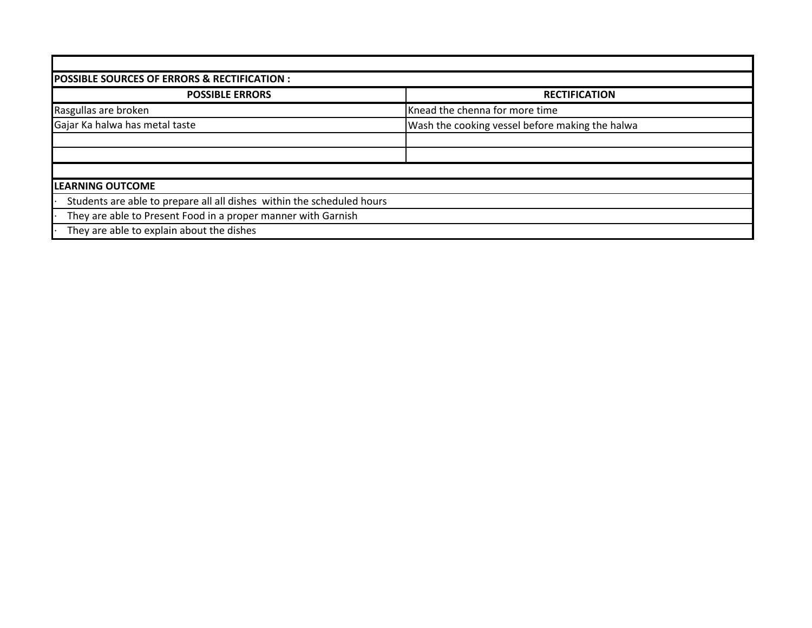| <b>POSSIBLE SOURCES OF ERRORS &amp; RECTIFICATION :</b>                |                                                 |  |  |  |  |  |
|------------------------------------------------------------------------|-------------------------------------------------|--|--|--|--|--|
| <b>POSSIBLE ERRORS</b>                                                 | <b>RECTIFICATION</b>                            |  |  |  |  |  |
| Rasgullas are broken                                                   | Knead the chenna for more time                  |  |  |  |  |  |
| Gajar Ka halwa has metal taste                                         | Wash the cooking vessel before making the halwa |  |  |  |  |  |
|                                                                        |                                                 |  |  |  |  |  |
|                                                                        |                                                 |  |  |  |  |  |
|                                                                        |                                                 |  |  |  |  |  |
| <b>LEARNING OUTCOME</b>                                                |                                                 |  |  |  |  |  |
| Students are able to prepare all all dishes within the scheduled hours |                                                 |  |  |  |  |  |
| They are able to Present Food in a proper manner with Garnish          |                                                 |  |  |  |  |  |
| They are able to explain about the dishes                              |                                                 |  |  |  |  |  |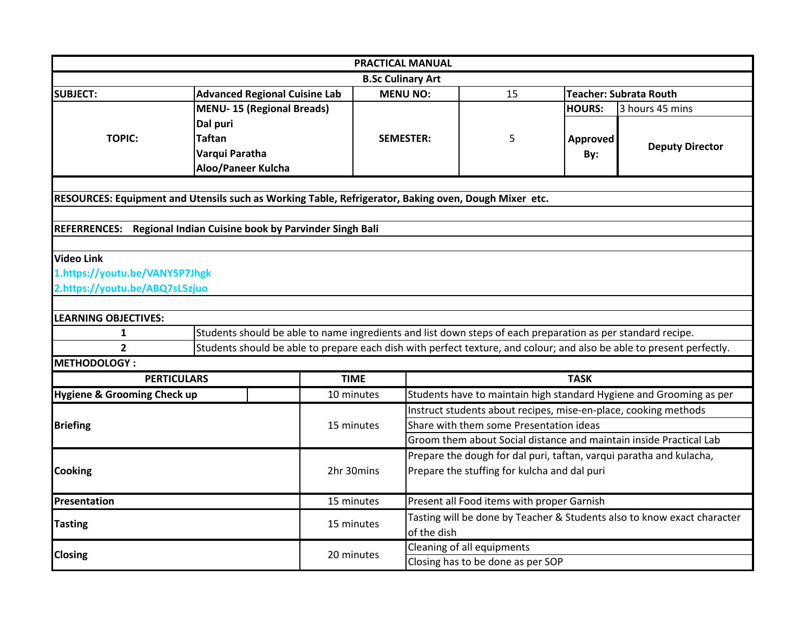|                                                                                                      |                                                                                                                       |            | PRACTICAL MANUAL                                                   |                                                                         |               |                                                                     |  |
|------------------------------------------------------------------------------------------------------|-----------------------------------------------------------------------------------------------------------------------|------------|--------------------------------------------------------------------|-------------------------------------------------------------------------|---------------|---------------------------------------------------------------------|--|
|                                                                                                      |                                                                                                                       |            | <b>B.Sc Culinary Art</b>                                           |                                                                         |               |                                                                     |  |
| <b>SUBJECT:</b>                                                                                      | <b>Advanced Regional Cuisine Lab</b>                                                                                  |            | <b>MENU NO:</b>                                                    | 15                                                                      |               | <b>Teacher: Subrata Routh</b>                                       |  |
|                                                                                                      | <b>MENU-15 (Regional Breads)</b>                                                                                      |            |                                                                    |                                                                         | <b>HOURS:</b> | 3 hours 45 mins                                                     |  |
|                                                                                                      | Dal puri                                                                                                              |            |                                                                    |                                                                         |               |                                                                     |  |
| <b>TOPIC:</b>                                                                                        | <b>Taftan</b>                                                                                                         |            | <b>SEMESTER:</b>                                                   | 5                                                                       | Approved      | <b>Deputy Director</b>                                              |  |
|                                                                                                      | Varqui Paratha                                                                                                        |            |                                                                    |                                                                         | By:           |                                                                     |  |
|                                                                                                      | Aloo/Paneer Kulcha                                                                                                    |            |                                                                    |                                                                         |               |                                                                     |  |
|                                                                                                      |                                                                                                                       |            |                                                                    |                                                                         |               |                                                                     |  |
| RESOURCES: Equipment and Utensils such as Working Table, Refrigerator, Baking oven, Dough Mixer etc. |                                                                                                                       |            |                                                                    |                                                                         |               |                                                                     |  |
|                                                                                                      |                                                                                                                       |            |                                                                    |                                                                         |               |                                                                     |  |
| REFERRENCES: Regional Indian Cuisine book by Parvinder Singh Bali                                    |                                                                                                                       |            |                                                                    |                                                                         |               |                                                                     |  |
|                                                                                                      |                                                                                                                       |            |                                                                    |                                                                         |               |                                                                     |  |
| <b>Video Link</b>                                                                                    |                                                                                                                       |            |                                                                    |                                                                         |               |                                                                     |  |
| 1.https://youtu.be/VANY5P7Jhgk                                                                       |                                                                                                                       |            |                                                                    |                                                                         |               |                                                                     |  |
| 2.https://youtu.be/ABQ7sL5zjuo                                                                       |                                                                                                                       |            |                                                                    |                                                                         |               |                                                                     |  |
| <b>LEARNING OBJECTIVES:</b>                                                                          |                                                                                                                       |            |                                                                    |                                                                         |               |                                                                     |  |
| $\mathbf{1}$                                                                                         | Students should be able to name ingredients and list down steps of each preparation as per standard recipe.           |            |                                                                    |                                                                         |               |                                                                     |  |
| $\overline{2}$                                                                                       | Students should be able to prepare each dish with perfect texture, and colour; and also be able to present perfectly. |            |                                                                    |                                                                         |               |                                                                     |  |
| <b>METHODOLOGY:</b>                                                                                  |                                                                                                                       |            |                                                                    |                                                                         |               |                                                                     |  |
| <b>TIME</b><br><b>PERTICULARS</b>                                                                    |                                                                                                                       |            |                                                                    | <b>TASK</b>                                                             |               |                                                                     |  |
| <b>Hygiene &amp; Grooming Check up</b>                                                               |                                                                                                                       | 10 minutes |                                                                    | Students have to maintain high standard Hygiene and Grooming as per     |               |                                                                     |  |
|                                                                                                      |                                                                                                                       |            | Instruct students about recipes, mise-en-place, cooking methods    |                                                                         |               |                                                                     |  |
| <b>Briefing</b>                                                                                      |                                                                                                                       | 15 minutes | Share with them some Presentation ideas                            |                                                                         |               |                                                                     |  |
|                                                                                                      |                                                                                                                       |            | Groom them about Social distance and maintain inside Practical Lab |                                                                         |               |                                                                     |  |
| <b>Cooking</b>                                                                                       |                                                                                                                       |            |                                                                    |                                                                         |               | Prepare the dough for dal puri, taftan, varqui paratha and kulacha, |  |
|                                                                                                      |                                                                                                                       | 2hr 30mins | Prepare the stuffing for kulcha and dal puri                       |                                                                         |               |                                                                     |  |
|                                                                                                      |                                                                                                                       |            |                                                                    |                                                                         |               |                                                                     |  |
| Presentation                                                                                         |                                                                                                                       | 15 minutes |                                                                    | Present all Food items with proper Garnish                              |               |                                                                     |  |
|                                                                                                      |                                                                                                                       | 15 minutes |                                                                    | Tasting will be done by Teacher & Students also to know exact character |               |                                                                     |  |
| <b>Tasting</b>                                                                                       |                                                                                                                       |            |                                                                    | of the dish                                                             |               |                                                                     |  |
|                                                                                                      |                                                                                                                       | 20 minutes | Cleaning of all equipments                                         |                                                                         |               |                                                                     |  |
| <b>Closing</b>                                                                                       |                                                                                                                       |            |                                                                    | Closing has to be done as per SOP                                       |               |                                                                     |  |